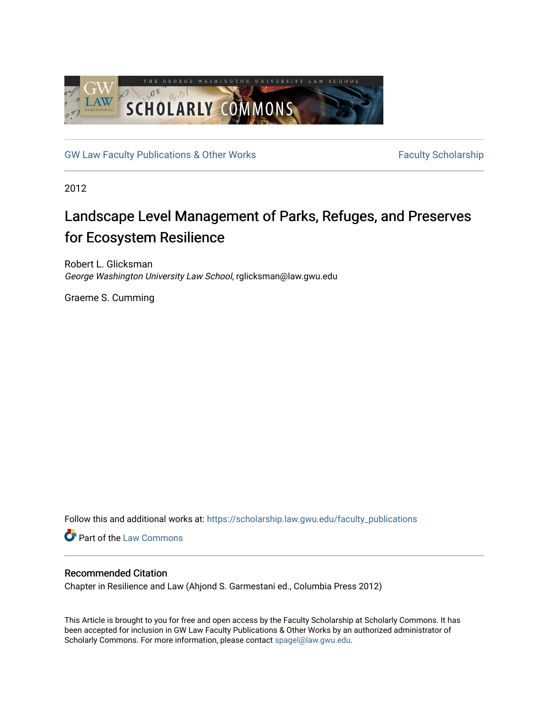

[GW Law Faculty Publications & Other Works](https://scholarship.law.gwu.edu/faculty_publications) Faculty Scholarship

2012

# Landscape Level Management of Parks, Refuges, and Preserves for Ecosystem Resilience

Robert L. Glicksman George Washington University Law School, rglicksman@law.gwu.edu

Graeme S. Cumming

Follow this and additional works at: [https://scholarship.law.gwu.edu/faculty\\_publications](https://scholarship.law.gwu.edu/faculty_publications?utm_source=scholarship.law.gwu.edu%2Ffaculty_publications%2F70&utm_medium=PDF&utm_campaign=PDFCoverPages) 

**Part of the [Law Commons](http://network.bepress.com/hgg/discipline/578?utm_source=scholarship.law.gwu.edu%2Ffaculty_publications%2F70&utm_medium=PDF&utm_campaign=PDFCoverPages)** 

## Recommended Citation

Chapter in Resilience and Law (Ahjond S. Garmestani ed., Columbia Press 2012)

This Article is brought to you for free and open access by the Faculty Scholarship at Scholarly Commons. It has been accepted for inclusion in GW Law Faculty Publications & Other Works by an authorized administrator of Scholarly Commons. For more information, please contact [spagel@law.gwu.edu](mailto:spagel@law.gwu.edu).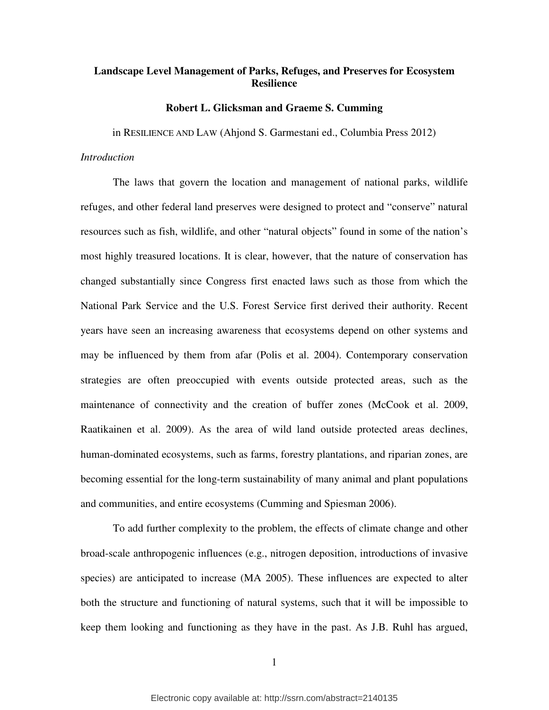# **Landscape Level Management of Parks, Refuges, and Preserves for Ecosystem Resilience**

## **Robert L. Glicksman and Graeme S. Cumming**

in RESILIENCE AND LAW (Ahjond S. Garmestani ed., Columbia Press 2012)

## *Introduction*

The laws that govern the location and management of national parks, wildlife refuges, and other federal land preserves were designed to protect and "conserve" natural resources such as fish, wildlife, and other "natural objects" found in some of the nation's most highly treasured locations. It is clear, however, that the nature of conservation has changed substantially since Congress first enacted laws such as those from which the National Park Service and the U.S. Forest Service first derived their authority. Recent years have seen an increasing awareness that ecosystems depend on other systems and may be influenced by them from afar (Polis et al. 2004). Contemporary conservation strategies are often preoccupied with events outside protected areas, such as the maintenance of connectivity and the creation of buffer zones (McCook et al. 2009, Raatikainen et al. 2009). As the area of wild land outside protected areas declines, human-dominated ecosystems, such as farms, forestry plantations, and riparian zones, are becoming essential for the long-term sustainability of many animal and plant populations and communities, and entire ecosystems (Cumming and Spiesman 2006).

To add further complexity to the problem, the effects of climate change and other broad-scale anthropogenic influences (e.g., nitrogen deposition, introductions of invasive species) are anticipated to increase (MA 2005). These influences are expected to alter both the structure and functioning of natural systems, such that it will be impossible to keep them looking and functioning as they have in the past. As J.B. Ruhl has argued,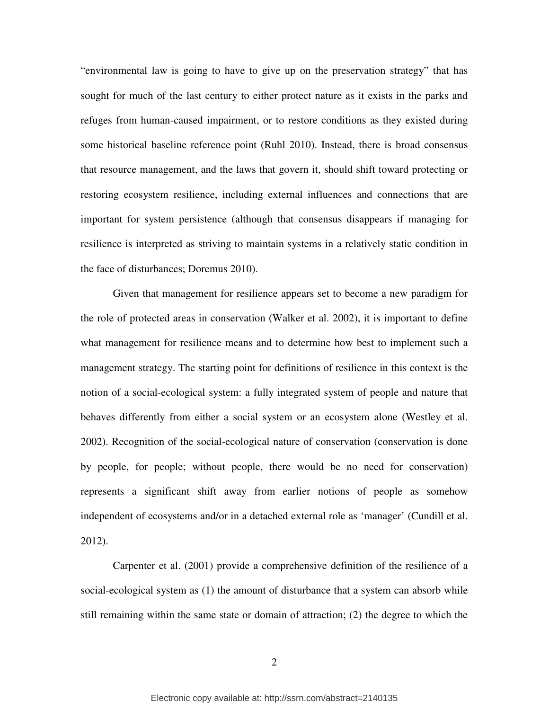"environmental law is going to have to give up on the preservation strategy" that has sought for much of the last century to either protect nature as it exists in the parks and refuges from human-caused impairment, or to restore conditions as they existed during some historical baseline reference point (Ruhl 2010). Instead, there is broad consensus that resource management, and the laws that govern it, should shift toward protecting or restoring ecosystem resilience, including external influences and connections that are important for system persistence (although that consensus disappears if managing for resilience is interpreted as striving to maintain systems in a relatively static condition in the face of disturbances; Doremus 2010).

Given that management for resilience appears set to become a new paradigm for the role of protected areas in conservation (Walker et al. 2002), it is important to define what management for resilience means and to determine how best to implement such a management strategy. The starting point for definitions of resilience in this context is the notion of a social-ecological system: a fully integrated system of people and nature that behaves differently from either a social system or an ecosystem alone (Westley et al. 2002). Recognition of the social-ecological nature of conservation (conservation is done by people, for people; without people, there would be no need for conservation) represents a significant shift away from earlier notions of people as somehow independent of ecosystems and/or in a detached external role as 'manager' (Cundill et al. 2012).

Carpenter et al. (2001) provide a comprehensive definition of the resilience of a social-ecological system as (1) the amount of disturbance that a system can absorb while still remaining within the same state or domain of attraction; (2) the degree to which the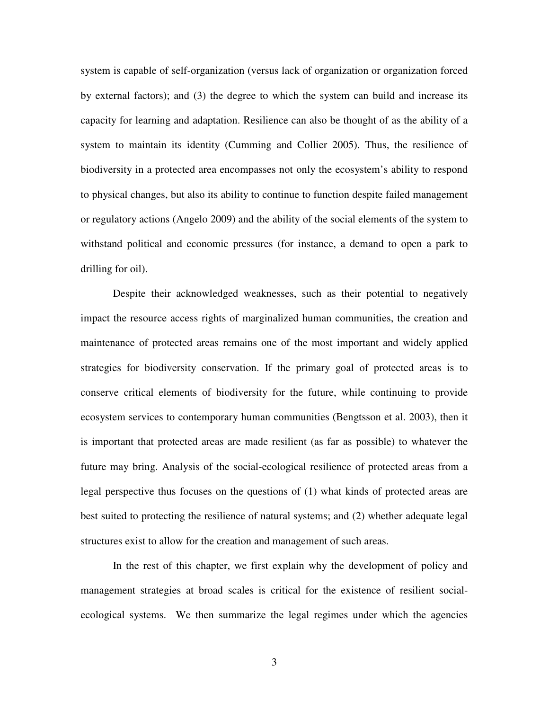system is capable of self-organization (versus lack of organization or organization forced by external factors); and (3) the degree to which the system can build and increase its capacity for learning and adaptation. Resilience can also be thought of as the ability of a system to maintain its identity (Cumming and Collier 2005). Thus, the resilience of biodiversity in a protected area encompasses not only the ecosystem's ability to respond to physical changes, but also its ability to continue to function despite failed management or regulatory actions (Angelo 2009) and the ability of the social elements of the system to withstand political and economic pressures (for instance, a demand to open a park to drilling for oil).

Despite their acknowledged weaknesses, such as their potential to negatively impact the resource access rights of marginalized human communities, the creation and maintenance of protected areas remains one of the most important and widely applied strategies for biodiversity conservation. If the primary goal of protected areas is to conserve critical elements of biodiversity for the future, while continuing to provide ecosystem services to contemporary human communities (Bengtsson et al. 2003), then it is important that protected areas are made resilient (as far as possible) to whatever the future may bring. Analysis of the social-ecological resilience of protected areas from a legal perspective thus focuses on the questions of (1) what kinds of protected areas are best suited to protecting the resilience of natural systems; and (2) whether adequate legal structures exist to allow for the creation and management of such areas.

In the rest of this chapter, we first explain why the development of policy and management strategies at broad scales is critical for the existence of resilient socialecological systems. We then summarize the legal regimes under which the agencies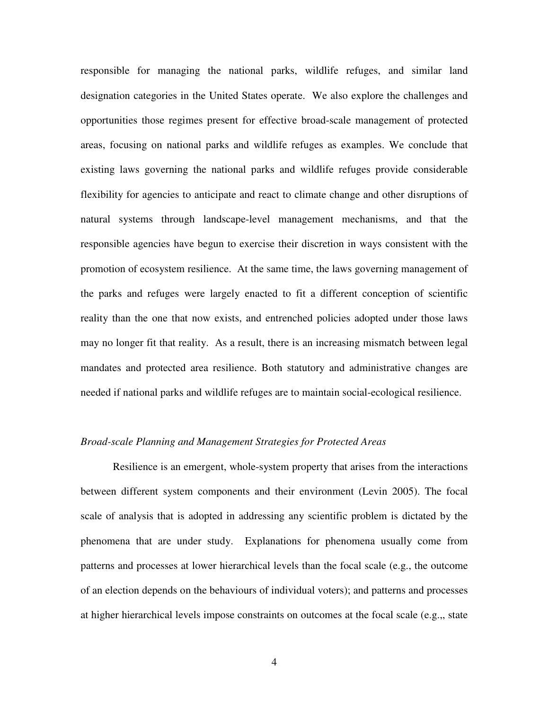responsible for managing the national parks, wildlife refuges, and similar land designation categories in the United States operate. We also explore the challenges and opportunities those regimes present for effective broad-scale management of protected areas, focusing on national parks and wildlife refuges as examples. We conclude that existing laws governing the national parks and wildlife refuges provide considerable flexibility for agencies to anticipate and react to climate change and other disruptions of natural systems through landscape-level management mechanisms, and that the responsible agencies have begun to exercise their discretion in ways consistent with the promotion of ecosystem resilience. At the same time, the laws governing management of the parks and refuges were largely enacted to fit a different conception of scientific reality than the one that now exists, and entrenched policies adopted under those laws may no longer fit that reality. As a result, there is an increasing mismatch between legal mandates and protected area resilience. Both statutory and administrative changes are needed if national parks and wildlife refuges are to maintain social-ecological resilience.

## *Broad-scale Planning and Management Strategies for Protected Areas*

Resilience is an emergent, whole-system property that arises from the interactions between different system components and their environment (Levin 2005). The focal scale of analysis that is adopted in addressing any scientific problem is dictated by the phenomena that are under study. Explanations for phenomena usually come from patterns and processes at lower hierarchical levels than the focal scale (e.g., the outcome of an election depends on the behaviours of individual voters); and patterns and processes at higher hierarchical levels impose constraints on outcomes at the focal scale (e.g.,, state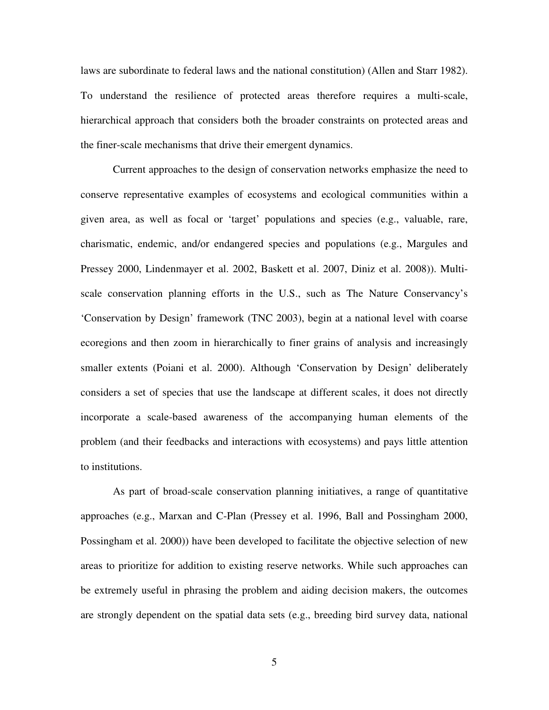laws are subordinate to federal laws and the national constitution) (Allen and Starr 1982). To understand the resilience of protected areas therefore requires a multi-scale, hierarchical approach that considers both the broader constraints on protected areas and the finer-scale mechanisms that drive their emergent dynamics.

Current approaches to the design of conservation networks emphasize the need to conserve representative examples of ecosystems and ecological communities within a given area, as well as focal or 'target' populations and species (e.g., valuable, rare, charismatic, endemic, and/or endangered species and populations (e.g., Margules and Pressey 2000, Lindenmayer et al. 2002, Baskett et al. 2007, Diniz et al. 2008)). Multiscale conservation planning efforts in the U.S., such as The Nature Conservancy's 'Conservation by Design' framework (TNC 2003), begin at a national level with coarse ecoregions and then zoom in hierarchically to finer grains of analysis and increasingly smaller extents (Poiani et al. 2000). Although 'Conservation by Design' deliberately considers a set of species that use the landscape at different scales, it does not directly incorporate a scale-based awareness of the accompanying human elements of the problem (and their feedbacks and interactions with ecosystems) and pays little attention to institutions.

As part of broad-scale conservation planning initiatives, a range of quantitative approaches (e.g., Marxan and C-Plan (Pressey et al. 1996, Ball and Possingham 2000, Possingham et al. 2000)) have been developed to facilitate the objective selection of new areas to prioritize for addition to existing reserve networks. While such approaches can be extremely useful in phrasing the problem and aiding decision makers, the outcomes are strongly dependent on the spatial data sets (e.g., breeding bird survey data, national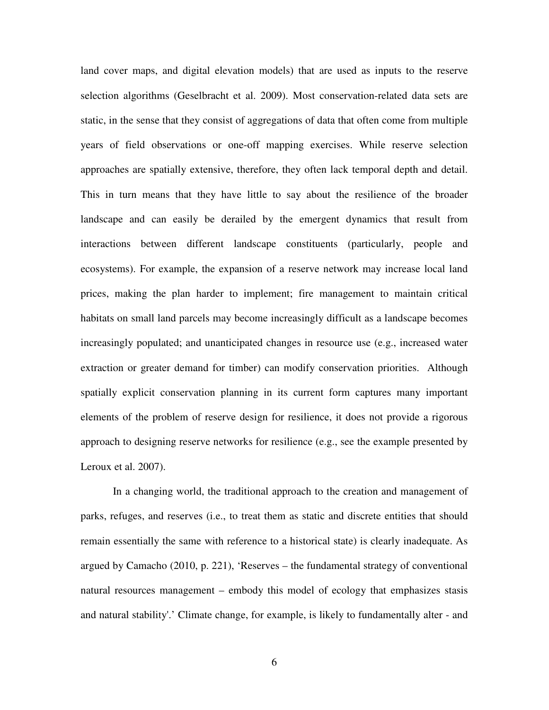land cover maps, and digital elevation models) that are used as inputs to the reserve selection algorithms (Geselbracht et al. 2009). Most conservation-related data sets are static, in the sense that they consist of aggregations of data that often come from multiple years of field observations or one-off mapping exercises. While reserve selection approaches are spatially extensive, therefore, they often lack temporal depth and detail. This in turn means that they have little to say about the resilience of the broader landscape and can easily be derailed by the emergent dynamics that result from interactions between different landscape constituents (particularly, people and ecosystems). For example, the expansion of a reserve network may increase local land prices, making the plan harder to implement; fire management to maintain critical habitats on small land parcels may become increasingly difficult as a landscape becomes increasingly populated; and unanticipated changes in resource use (e.g., increased water extraction or greater demand for timber) can modify conservation priorities. Although spatially explicit conservation planning in its current form captures many important elements of the problem of reserve design for resilience, it does not provide a rigorous approach to designing reserve networks for resilience (e.g., see the example presented by Leroux et al. 2007).

In a changing world, the traditional approach to the creation and management of parks, refuges, and reserves (i.e., to treat them as static and discrete entities that should remain essentially the same with reference to a historical state) is clearly inadequate. As argued by Camacho (2010, p. 221), 'Reserves – the fundamental strategy of conventional natural resources management – embody this model of ecology that emphasizes stasis and natural stability'.' Climate change, for example, is likely to fundamentally alter - and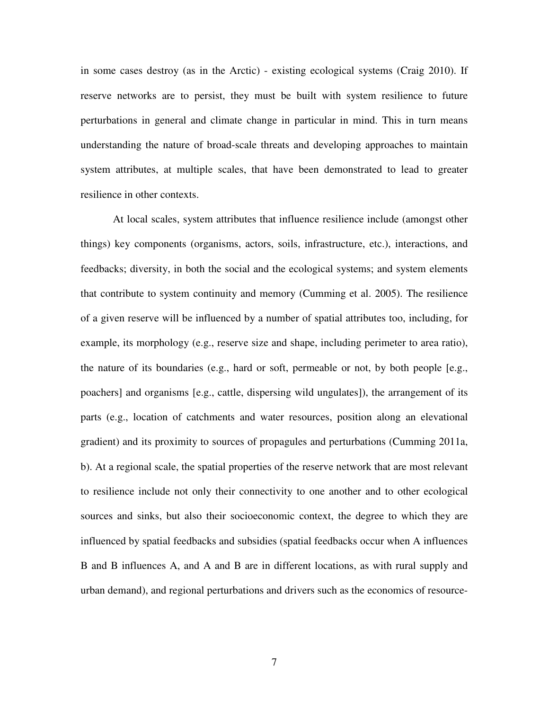in some cases destroy (as in the Arctic) - existing ecological systems (Craig 2010). If reserve networks are to persist, they must be built with system resilience to future perturbations in general and climate change in particular in mind. This in turn means understanding the nature of broad-scale threats and developing approaches to maintain system attributes, at multiple scales, that have been demonstrated to lead to greater resilience in other contexts.

At local scales, system attributes that influence resilience include (amongst other things) key components (organisms, actors, soils, infrastructure, etc.), interactions, and feedbacks; diversity, in both the social and the ecological systems; and system elements that contribute to system continuity and memory (Cumming et al. 2005). The resilience of a given reserve will be influenced by a number of spatial attributes too, including, for example, its morphology (e.g., reserve size and shape, including perimeter to area ratio), the nature of its boundaries (e.g., hard or soft, permeable or not, by both people [e.g., poachers] and organisms [e.g., cattle, dispersing wild ungulates]), the arrangement of its parts (e.g., location of catchments and water resources, position along an elevational gradient) and its proximity to sources of propagules and perturbations (Cumming 2011a, b). At a regional scale, the spatial properties of the reserve network that are most relevant to resilience include not only their connectivity to one another and to other ecological sources and sinks, but also their socioeconomic context, the degree to which they are influenced by spatial feedbacks and subsidies (spatial feedbacks occur when A influences B and B influences A, and A and B are in different locations, as with rural supply and urban demand), and regional perturbations and drivers such as the economics of resource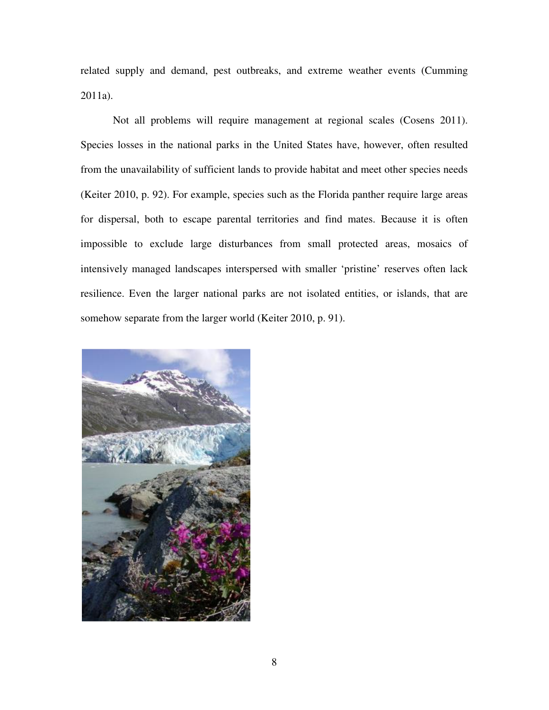related supply and demand, pest outbreaks, and extreme weather events (Cumming 2011a).

Not all problems will require management at regional scales (Cosens 2011). Species losses in the national parks in the United States have, however, often resulted from the unavailability of sufficient lands to provide habitat and meet other species needs (Keiter 2010, p. 92). For example, species such as the Florida panther require large areas for dispersal, both to escape parental territories and find mates. Because it is often impossible to exclude large disturbances from small protected areas, mosaics of intensively managed landscapes interspersed with smaller 'pristine' reserves often lack resilience. Even the larger national parks are not isolated entities, or islands, that are somehow separate from the larger world (Keiter 2010, p. 91).

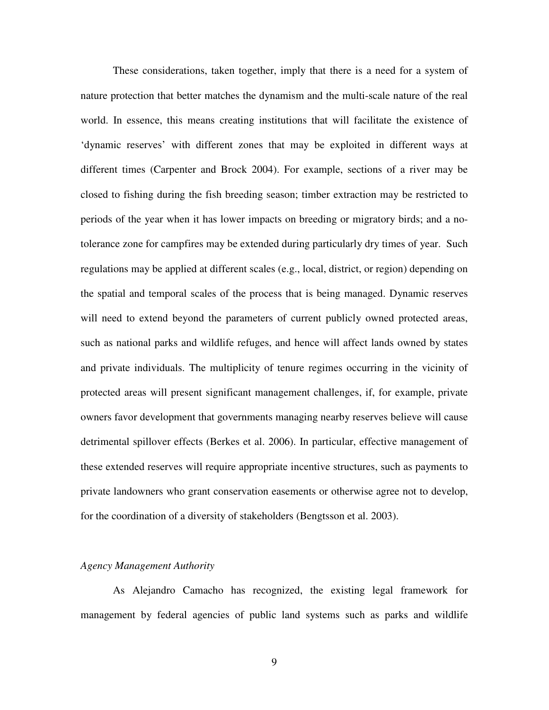These considerations, taken together, imply that there is a need for a system of nature protection that better matches the dynamism and the multi-scale nature of the real world. In essence, this means creating institutions that will facilitate the existence of 'dynamic reserves' with different zones that may be exploited in different ways at different times (Carpenter and Brock 2004). For example, sections of a river may be closed to fishing during the fish breeding season; timber extraction may be restricted to periods of the year when it has lower impacts on breeding or migratory birds; and a notolerance zone for campfires may be extended during particularly dry times of year. Such regulations may be applied at different scales (e.g., local, district, or region) depending on the spatial and temporal scales of the process that is being managed. Dynamic reserves will need to extend beyond the parameters of current publicly owned protected areas, such as national parks and wildlife refuges, and hence will affect lands owned by states and private individuals. The multiplicity of tenure regimes occurring in the vicinity of protected areas will present significant management challenges, if, for example, private owners favor development that governments managing nearby reserves believe will cause detrimental spillover effects (Berkes et al. 2006). In particular, effective management of these extended reserves will require appropriate incentive structures, such as payments to private landowners who grant conservation easements or otherwise agree not to develop, for the coordination of a diversity of stakeholders (Bengtsson et al. 2003).

## *Agency Management Authority*

As Alejandro Camacho has recognized, the existing legal framework for management by federal agencies of public land systems such as parks and wildlife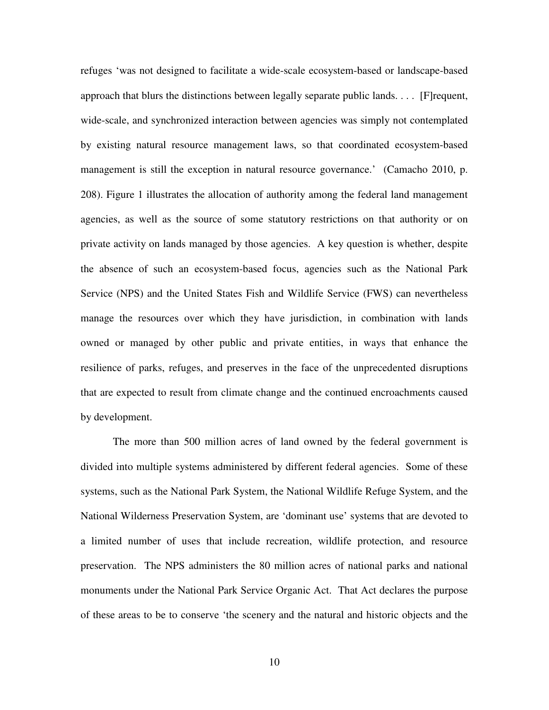refuges 'was not designed to facilitate a wide-scale ecosystem-based or landscape-based approach that blurs the distinctions between legally separate public lands. . . . [F]requent, wide-scale, and synchronized interaction between agencies was simply not contemplated by existing natural resource management laws, so that coordinated ecosystem-based management is still the exception in natural resource governance.' (Camacho 2010, p. 208). Figure 1 illustrates the allocation of authority among the federal land management agencies, as well as the source of some statutory restrictions on that authority or on private activity on lands managed by those agencies. A key question is whether, despite the absence of such an ecosystem-based focus, agencies such as the National Park Service (NPS) and the United States Fish and Wildlife Service (FWS) can nevertheless manage the resources over which they have jurisdiction, in combination with lands owned or managed by other public and private entities, in ways that enhance the resilience of parks, refuges, and preserves in the face of the unprecedented disruptions that are expected to result from climate change and the continued encroachments caused by development.

The more than 500 million acres of land owned by the federal government is divided into multiple systems administered by different federal agencies. Some of these systems, such as the National Park System, the National Wildlife Refuge System, and the National Wilderness Preservation System, are 'dominant use' systems that are devoted to a limited number of uses that include recreation, wildlife protection, and resource preservation. The NPS administers the 80 million acres of national parks and national monuments under the National Park Service Organic Act. That Act declares the purpose of these areas to be to conserve 'the scenery and the natural and historic objects and the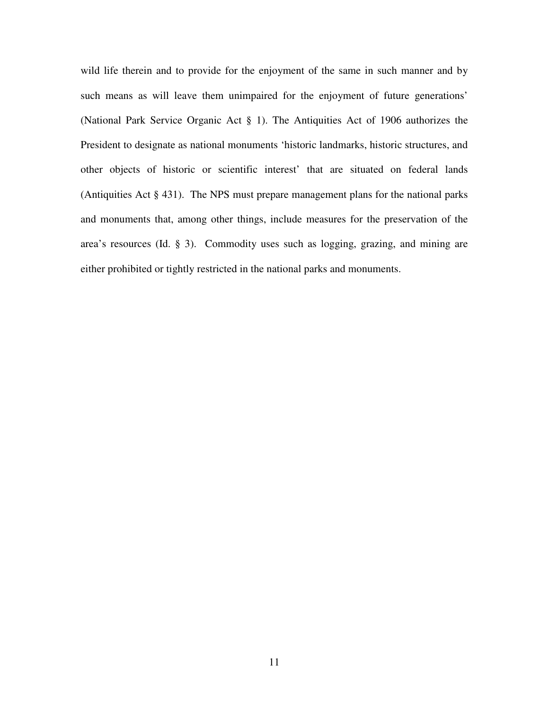wild life therein and to provide for the enjoyment of the same in such manner and by such means as will leave them unimpaired for the enjoyment of future generations' (National Park Service Organic Act § 1). The Antiquities Act of 1906 authorizes the President to designate as national monuments 'historic landmarks, historic structures, and other objects of historic or scientific interest' that are situated on federal lands (Antiquities Act § 431). The NPS must prepare management plans for the national parks and monuments that, among other things, include measures for the preservation of the area's resources (Id. § 3). Commodity uses such as logging, grazing, and mining are either prohibited or tightly restricted in the national parks and monuments.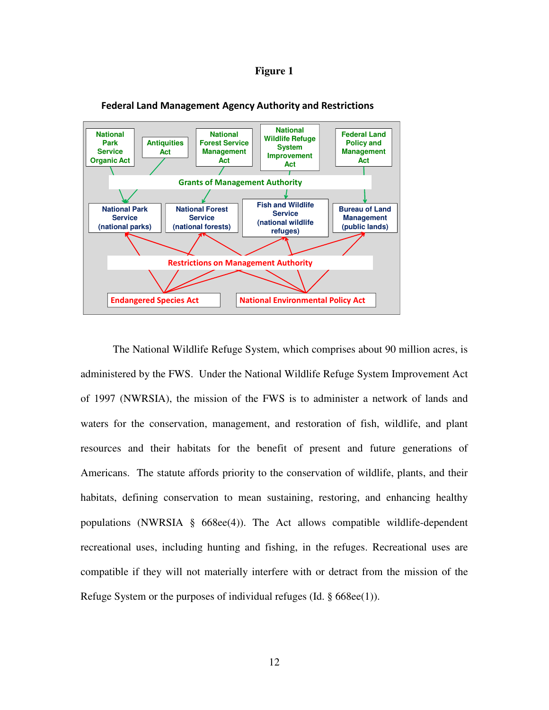## **Figure 1**



## Federal Land Management Agency Authority and Restrictions

The National Wildlife Refuge System, which comprises about 90 million acres, is administered by the FWS. Under the National Wildlife Refuge System Improvement Act of 1997 (NWRSIA), the mission of the FWS is to administer a network of lands and waters for the conservation, management, and restoration of fish, wildlife, and plant resources and their habitats for the benefit of present and future generations of Americans. The statute affords priority to the conservation of wildlife, plants, and their habitats, defining conservation to mean sustaining, restoring, and enhancing healthy populations (NWRSIA  $\S$  668ee(4)). The Act allows compatible wildlife-dependent recreational uses, including hunting and fishing, in the refuges. Recreational uses are compatible if they will not materially interfere with or detract from the mission of the Refuge System or the purposes of individual refuges (Id. § 668ee(1)).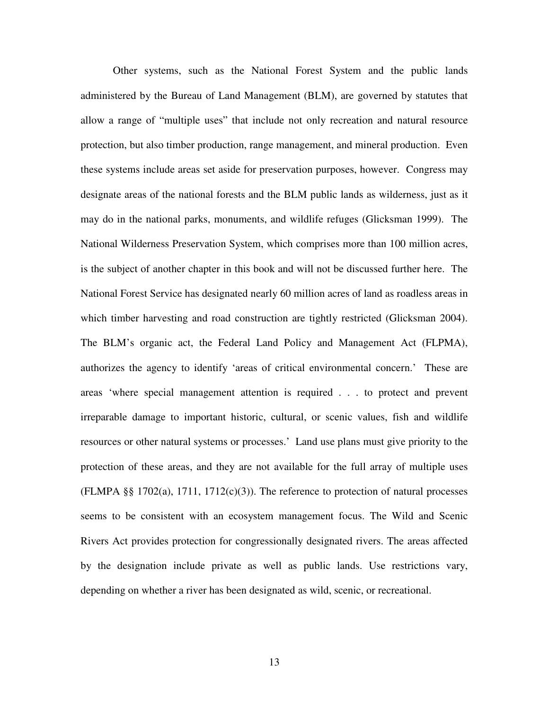Other systems, such as the National Forest System and the public lands administered by the Bureau of Land Management (BLM), are governed by statutes that allow a range of "multiple uses" that include not only recreation and natural resource protection, but also timber production, range management, and mineral production. Even these systems include areas set aside for preservation purposes, however. Congress may designate areas of the national forests and the BLM public lands as wilderness, just as it may do in the national parks, monuments, and wildlife refuges (Glicksman 1999). The National Wilderness Preservation System, which comprises more than 100 million acres, is the subject of another chapter in this book and will not be discussed further here. The National Forest Service has designated nearly 60 million acres of land as roadless areas in which timber harvesting and road construction are tightly restricted (Glicksman 2004). The BLM's organic act, the Federal Land Policy and Management Act (FLPMA), authorizes the agency to identify 'areas of critical environmental concern.' These are areas 'where special management attention is required . . . to protect and prevent irreparable damage to important historic, cultural, or scenic values, fish and wildlife resources or other natural systems or processes.' Land use plans must give priority to the protection of these areas, and they are not available for the full array of multiple uses  $(FLMPA \$ §§ 1702 $(a)$ , 1711, 1712 $(c)(3)$ ). The reference to protection of natural processes seems to be consistent with an ecosystem management focus. The Wild and Scenic Rivers Act provides protection for congressionally designated rivers. The areas affected by the designation include private as well as public lands. Use restrictions vary, depending on whether a river has been designated as wild, scenic, or recreational.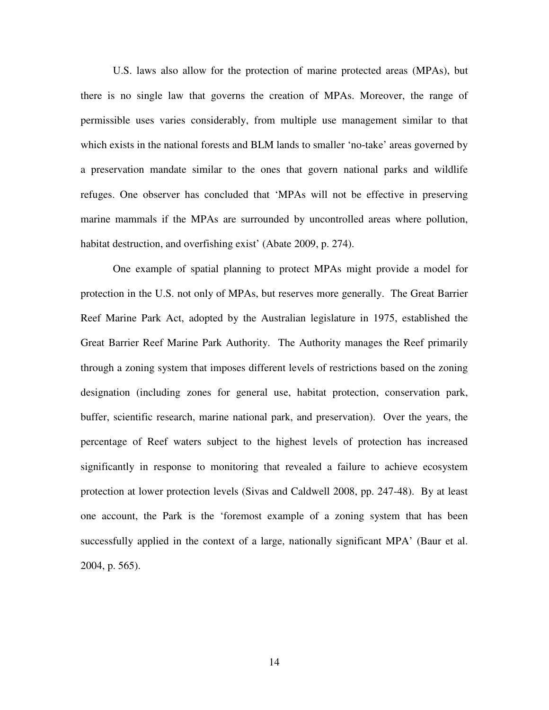U.S. laws also allow for the protection of marine protected areas (MPAs), but there is no single law that governs the creation of MPAs. Moreover, the range of permissible uses varies considerably, from multiple use management similar to that which exists in the national forests and BLM lands to smaller 'no-take' areas governed by a preservation mandate similar to the ones that govern national parks and wildlife refuges. One observer has concluded that 'MPAs will not be effective in preserving marine mammals if the MPAs are surrounded by uncontrolled areas where pollution, habitat destruction, and overfishing exist' (Abate 2009, p. 274).

One example of spatial planning to protect MPAs might provide a model for protection in the U.S. not only of MPAs, but reserves more generally. The Great Barrier Reef Marine Park Act, adopted by the Australian legislature in 1975, established the Great Barrier Reef Marine Park Authority. The Authority manages the Reef primarily through a zoning system that imposes different levels of restrictions based on the zoning designation (including zones for general use, habitat protection, conservation park, buffer, scientific research, marine national park, and preservation). Over the years, the percentage of Reef waters subject to the highest levels of protection has increased significantly in response to monitoring that revealed a failure to achieve ecosystem protection at lower protection levels (Sivas and Caldwell 2008, pp. 247-48). By at least one account, the Park is the 'foremost example of a zoning system that has been successfully applied in the context of a large, nationally significant MPA' (Baur et al. 2004, p. 565).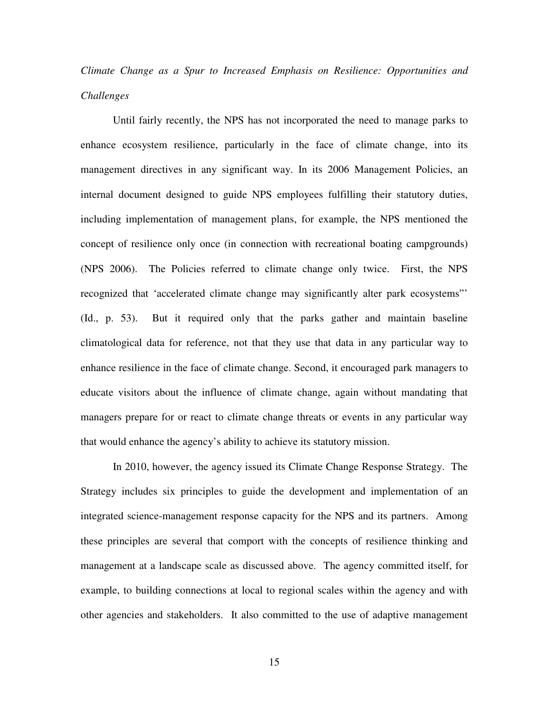# *Climate Change as a Spur to Increased Emphasis on Resilience: Opportunities and Challenges*

Until fairly recently, the NPS has not incorporated the need to manage parks to enhance ecosystem resilience, particularly in the face of climate change, into its management directives in any significant way. In its 2006 Management Policies, an internal document designed to guide NPS employees fulfilling their statutory duties, including implementation of management plans, for example, the NPS mentioned the concept of resilience only once (in connection with recreational boating campgrounds) (NPS 2006). The Policies referred to climate change only twice. First, the NPS recognized that 'accelerated climate change may significantly alter park ecosystems"' (Id., p. 53). But it required only that the parks gather and maintain baseline climatological data for reference, not that they use that data in any particular way to enhance resilience in the face of climate change. Second, it encouraged park managers to educate visitors about the influence of climate change, again without mandating that managers prepare for or react to climate change threats or events in any particular way that would enhance the agency's ability to achieve its statutory mission.

In 2010, however, the agency issued its Climate Change Response Strategy. The Strategy includes six principles to guide the development and implementation of an integrated science-management response capacity for the NPS and its partners. Among these principles are several that comport with the concepts of resilience thinking and management at a landscape scale as discussed above. The agency committed itself, for example, to building connections at local to regional scales within the agency and with other agencies and stakeholders. It also committed to the use of adaptive management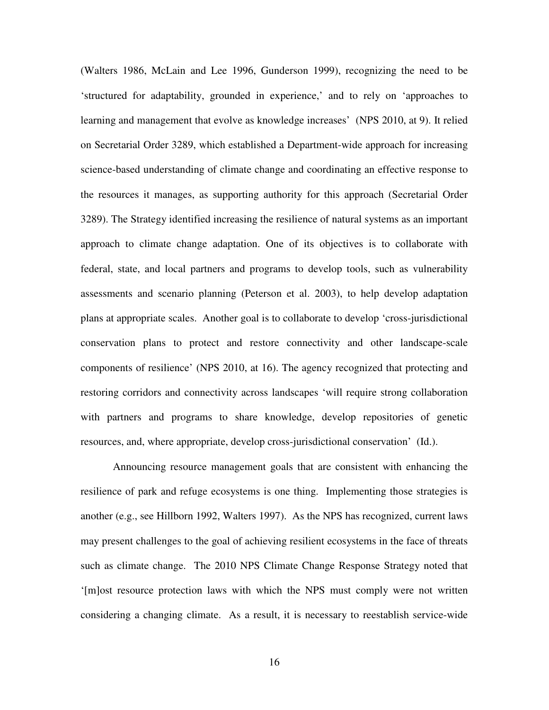(Walters 1986, McLain and Lee 1996, Gunderson 1999), recognizing the need to be 'structured for adaptability, grounded in experience,' and to rely on 'approaches to learning and management that evolve as knowledge increases' (NPS 2010, at 9). It relied on Secretarial Order 3289, which established a Department-wide approach for increasing science-based understanding of climate change and coordinating an effective response to the resources it manages, as supporting authority for this approach (Secretarial Order 3289). The Strategy identified increasing the resilience of natural systems as an important approach to climate change adaptation. One of its objectives is to collaborate with federal, state, and local partners and programs to develop tools, such as vulnerability assessments and scenario planning (Peterson et al. 2003), to help develop adaptation plans at appropriate scales. Another goal is to collaborate to develop 'cross-jurisdictional conservation plans to protect and restore connectivity and other landscape-scale components of resilience' (NPS 2010, at 16). The agency recognized that protecting and restoring corridors and connectivity across landscapes 'will require strong collaboration with partners and programs to share knowledge, develop repositories of genetic resources, and, where appropriate, develop cross-jurisdictional conservation' (Id.).

Announcing resource management goals that are consistent with enhancing the resilience of park and refuge ecosystems is one thing. Implementing those strategies is another (e.g., see Hillborn 1992, Walters 1997). As the NPS has recognized, current laws may present challenges to the goal of achieving resilient ecosystems in the face of threats such as climate change. The 2010 NPS Climate Change Response Strategy noted that '[m]ost resource protection laws with which the NPS must comply were not written considering a changing climate. As a result, it is necessary to reestablish service-wide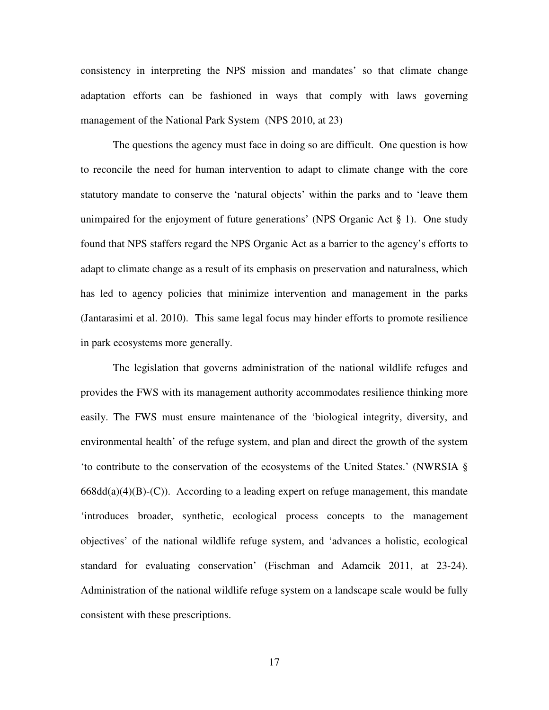consistency in interpreting the NPS mission and mandates' so that climate change adaptation efforts can be fashioned in ways that comply with laws governing management of the National Park System (NPS 2010, at 23)

The questions the agency must face in doing so are difficult. One question is how to reconcile the need for human intervention to adapt to climate change with the core statutory mandate to conserve the 'natural objects' within the parks and to 'leave them unimpaired for the enjoyment of future generations' (NPS Organic Act § 1). One study found that NPS staffers regard the NPS Organic Act as a barrier to the agency's efforts to adapt to climate change as a result of its emphasis on preservation and naturalness, which has led to agency policies that minimize intervention and management in the parks (Jantarasimi et al. 2010). This same legal focus may hinder efforts to promote resilience in park ecosystems more generally.

The legislation that governs administration of the national wildlife refuges and provides the FWS with its management authority accommodates resilience thinking more easily. The FWS must ensure maintenance of the 'biological integrity, diversity, and environmental health' of the refuge system, and plan and direct the growth of the system 'to contribute to the conservation of the ecosystems of the United States.' (NWRSIA §  $668\text{dd}(a)(4)(B)-(C)$ ). According to a leading expert on refuge management, this mandate 'introduces broader, synthetic, ecological process concepts to the management objectives' of the national wildlife refuge system, and 'advances a holistic, ecological standard for evaluating conservation' (Fischman and Adamcik 2011, at 23-24). Administration of the national wildlife refuge system on a landscape scale would be fully consistent with these prescriptions.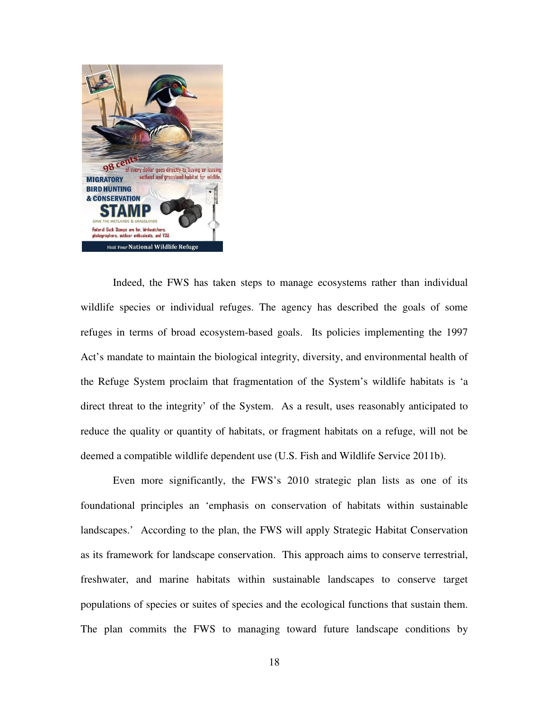

Indeed, the FWS has taken steps to manage ecosystems rather than individual wildlife species or individual refuges. The agency has described the goals of some refuges in terms of broad ecosystem-based goals. Its policies implementing the 1997 Act's mandate to maintain the biological integrity, diversity, and environmental health of the Refuge System proclaim that fragmentation of the System's wildlife habitats is 'a direct threat to the integrity' of the System. As a result, uses reasonably anticipated to reduce the quality or quantity of habitats, or fragment habitats on a refuge, will not be deemed a compatible wildlife dependent use (U.S. Fish and Wildlife Service 2011b).

Even more significantly, the FWS's 2010 strategic plan lists as one of its foundational principles an 'emphasis on conservation of habitats within sustainable landscapes.' According to the plan, the FWS will apply Strategic Habitat Conservation as its framework for landscape conservation. This approach aims to conserve terrestrial, freshwater, and marine habitats within sustainable landscapes to conserve target populations of species or suites of species and the ecological functions that sustain them. The plan commits the FWS to managing toward future landscape conditions by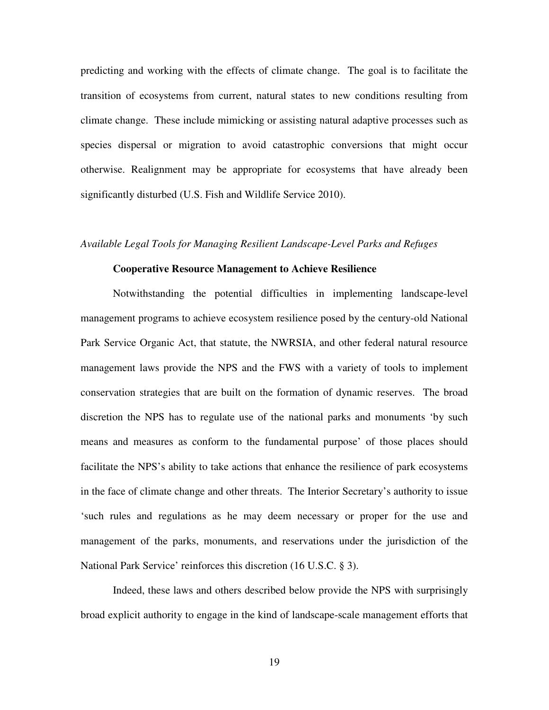predicting and working with the effects of climate change. The goal is to facilitate the transition of ecosystems from current, natural states to new conditions resulting from climate change. These include mimicking or assisting natural adaptive processes such as species dispersal or migration to avoid catastrophic conversions that might occur otherwise. Realignment may be appropriate for ecosystems that have already been significantly disturbed (U.S. Fish and Wildlife Service 2010).

#### *Available Legal Tools for Managing Resilient Landscape-Level Parks and Refuges*

#### **Cooperative Resource Management to Achieve Resilience**

Notwithstanding the potential difficulties in implementing landscape-level management programs to achieve ecosystem resilience posed by the century-old National Park Service Organic Act, that statute, the NWRSIA, and other federal natural resource management laws provide the NPS and the FWS with a variety of tools to implement conservation strategies that are built on the formation of dynamic reserves. The broad discretion the NPS has to regulate use of the national parks and monuments 'by such means and measures as conform to the fundamental purpose' of those places should facilitate the NPS's ability to take actions that enhance the resilience of park ecosystems in the face of climate change and other threats. The Interior Secretary's authority to issue 'such rules and regulations as he may deem necessary or proper for the use and management of the parks, monuments, and reservations under the jurisdiction of the National Park Service' reinforces this discretion (16 U.S.C. § 3).

Indeed, these laws and others described below provide the NPS with surprisingly broad explicit authority to engage in the kind of landscape-scale management efforts that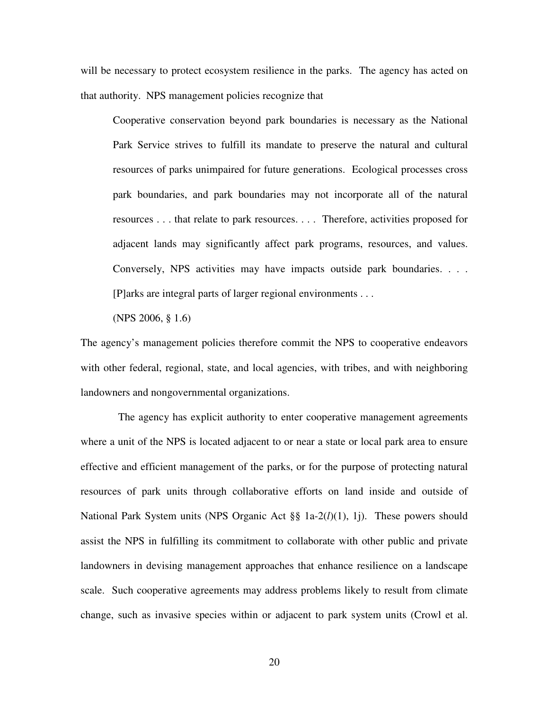will be necessary to protect ecosystem resilience in the parks. The agency has acted on that authority. NPS management policies recognize that

Cooperative conservation beyond park boundaries is necessary as the National Park Service strives to fulfill its mandate to preserve the natural and cultural resources of parks unimpaired for future generations. Ecological processes cross park boundaries, and park boundaries may not incorporate all of the natural resources . . . that relate to park resources. . . . Therefore, activities proposed for adjacent lands may significantly affect park programs, resources, and values. Conversely, NPS activities may have impacts outside park boundaries. . . . [P]arks are integral parts of larger regional environments . . .

(NPS 2006, § 1.6)

The agency's management policies therefore commit the NPS to cooperative endeavors with other federal, regional, state, and local agencies, with tribes, and with neighboring landowners and nongovernmental organizations.

The agency has explicit authority to enter cooperative management agreements where a unit of the NPS is located adjacent to or near a state or local park area to ensure effective and efficient management of the parks, or for the purpose of protecting natural resources of park units through collaborative efforts on land inside and outside of National Park System units (NPS Organic Act §§ 1a-2(*l*)(1), 1j). These powers should assist the NPS in fulfilling its commitment to collaborate with other public and private landowners in devising management approaches that enhance resilience on a landscape scale. Such cooperative agreements may address problems likely to result from climate change, such as invasive species within or adjacent to park system units (Crowl et al.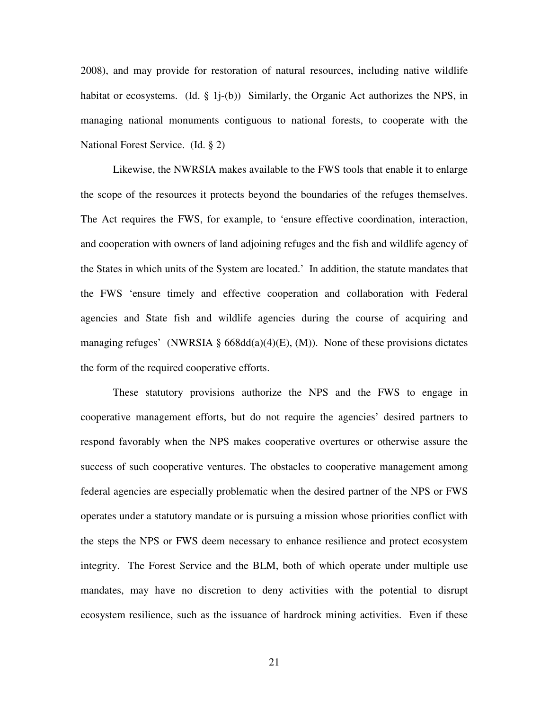2008), and may provide for restoration of natural resources, including native wildlife habitat or ecosystems. (Id.  $\S$  1*j*-(b)) Similarly, the Organic Act authorizes the NPS, in managing national monuments contiguous to national forests, to cooperate with the National Forest Service. (Id. § 2)

Likewise, the NWRSIA makes available to the FWS tools that enable it to enlarge the scope of the resources it protects beyond the boundaries of the refuges themselves. The Act requires the FWS, for example, to 'ensure effective coordination, interaction, and cooperation with owners of land adjoining refuges and the fish and wildlife agency of the States in which units of the System are located.' In addition, the statute mandates that the FWS 'ensure timely and effective cooperation and collaboration with Federal agencies and State fish and wildlife agencies during the course of acquiring and managing refuges' (NWRSIA § 668dd(a)(4)(E), (M)). None of these provisions dictates the form of the required cooperative efforts.

These statutory provisions authorize the NPS and the FWS to engage in cooperative management efforts, but do not require the agencies' desired partners to respond favorably when the NPS makes cooperative overtures or otherwise assure the success of such cooperative ventures. The obstacles to cooperative management among federal agencies are especially problematic when the desired partner of the NPS or FWS operates under a statutory mandate or is pursuing a mission whose priorities conflict with the steps the NPS or FWS deem necessary to enhance resilience and protect ecosystem integrity. The Forest Service and the BLM, both of which operate under multiple use mandates, may have no discretion to deny activities with the potential to disrupt ecosystem resilience, such as the issuance of hardrock mining activities. Even if these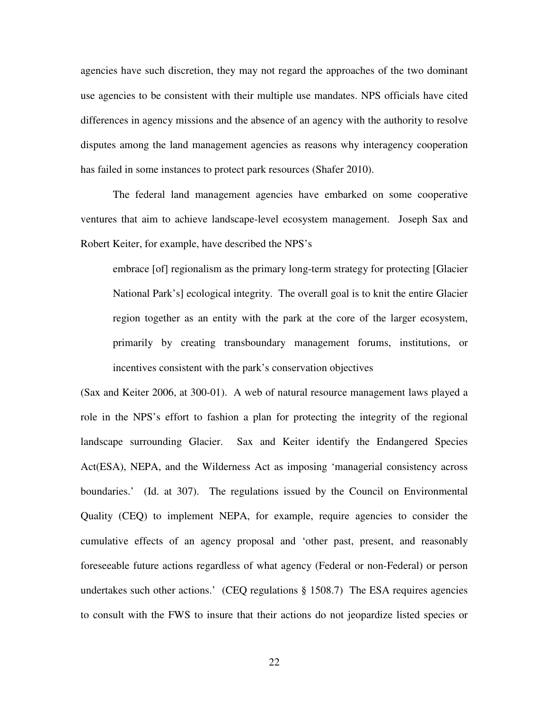agencies have such discretion, they may not regard the approaches of the two dominant use agencies to be consistent with their multiple use mandates. NPS officials have cited differences in agency missions and the absence of an agency with the authority to resolve disputes among the land management agencies as reasons why interagency cooperation has failed in some instances to protect park resources (Shafer 2010).

The federal land management agencies have embarked on some cooperative ventures that aim to achieve landscape-level ecosystem management. Joseph Sax and Robert Keiter, for example, have described the NPS's

embrace [of] regionalism as the primary long-term strategy for protecting [Glacier National Park's] ecological integrity. The overall goal is to knit the entire Glacier region together as an entity with the park at the core of the larger ecosystem, primarily by creating transboundary management forums, institutions, or incentives consistent with the park's conservation objectives

(Sax and Keiter 2006, at 300-01). A web of natural resource management laws played a role in the NPS's effort to fashion a plan for protecting the integrity of the regional landscape surrounding Glacier. Sax and Keiter identify the Endangered Species Act(ESA), NEPA, and the Wilderness Act as imposing 'managerial consistency across boundaries.' (Id. at 307). The regulations issued by the Council on Environmental Quality (CEQ) to implement NEPA, for example, require agencies to consider the cumulative effects of an agency proposal and 'other past, present, and reasonably foreseeable future actions regardless of what agency (Federal or non-Federal) or person undertakes such other actions.' (CEQ regulations § 1508.7) The ESA requires agencies to consult with the FWS to insure that their actions do not jeopardize listed species or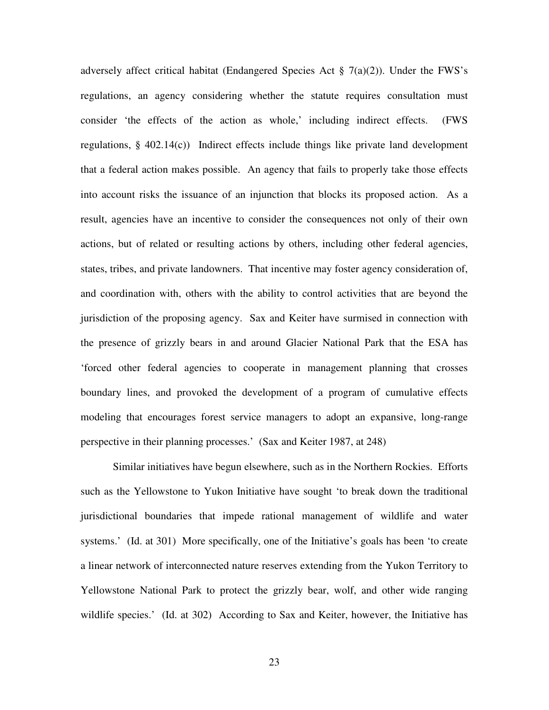adversely affect critical habitat (Endangered Species Act  $\S$  7(a)(2)). Under the FWS's regulations, an agency considering whether the statute requires consultation must consider 'the effects of the action as whole,' including indirect effects. (FWS regulations,  $\S$  402.14(c)) Indirect effects include things like private land development that a federal action makes possible. An agency that fails to properly take those effects into account risks the issuance of an injunction that blocks its proposed action. As a result, agencies have an incentive to consider the consequences not only of their own actions, but of related or resulting actions by others, including other federal agencies, states, tribes, and private landowners. That incentive may foster agency consideration of, and coordination with, others with the ability to control activities that are beyond the jurisdiction of the proposing agency. Sax and Keiter have surmised in connection with the presence of grizzly bears in and around Glacier National Park that the ESA has 'forced other federal agencies to cooperate in management planning that crosses boundary lines, and provoked the development of a program of cumulative effects modeling that encourages forest service managers to adopt an expansive, long-range perspective in their planning processes.' (Sax and Keiter 1987, at 248)

Similar initiatives have begun elsewhere, such as in the Northern Rockies. Efforts such as the Yellowstone to Yukon Initiative have sought 'to break down the traditional jurisdictional boundaries that impede rational management of wildlife and water systems.' (Id. at 301) More specifically, one of the Initiative's goals has been 'to create a linear network of interconnected nature reserves extending from the Yukon Territory to Yellowstone National Park to protect the grizzly bear, wolf, and other wide ranging wildlife species.' (Id. at 302) According to Sax and Keiter, however, the Initiative has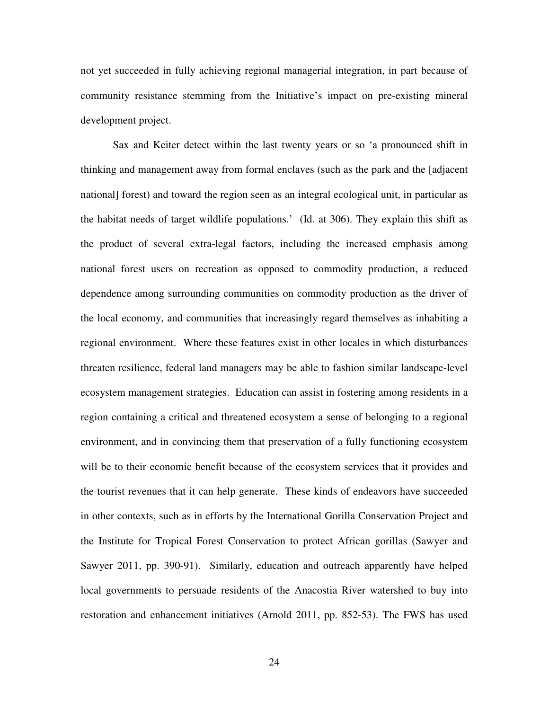not yet succeeded in fully achieving regional managerial integration, in part because of community resistance stemming from the Initiative's impact on pre-existing mineral development project.

Sax and Keiter detect within the last twenty years or so 'a pronounced shift in thinking and management away from formal enclaves (such as the park and the [adjacent national] forest) and toward the region seen as an integral ecological unit, in particular as the habitat needs of target wildlife populations.' (Id. at 306). They explain this shift as the product of several extra-legal factors, including the increased emphasis among national forest users on recreation as opposed to commodity production, a reduced dependence among surrounding communities on commodity production as the driver of the local economy, and communities that increasingly regard themselves as inhabiting a regional environment. Where these features exist in other locales in which disturbances threaten resilience, federal land managers may be able to fashion similar landscape-level ecosystem management strategies. Education can assist in fostering among residents in a region containing a critical and threatened ecosystem a sense of belonging to a regional environment, and in convincing them that preservation of a fully functioning ecosystem will be to their economic benefit because of the ecosystem services that it provides and the tourist revenues that it can help generate. These kinds of endeavors have succeeded in other contexts, such as in efforts by the International Gorilla Conservation Project and the Institute for Tropical Forest Conservation to protect African gorillas (Sawyer and Sawyer 2011, pp. 390-91). Similarly, education and outreach apparently have helped local governments to persuade residents of the Anacostia River watershed to buy into restoration and enhancement initiatives (Arnold 2011, pp. 852-53). The FWS has used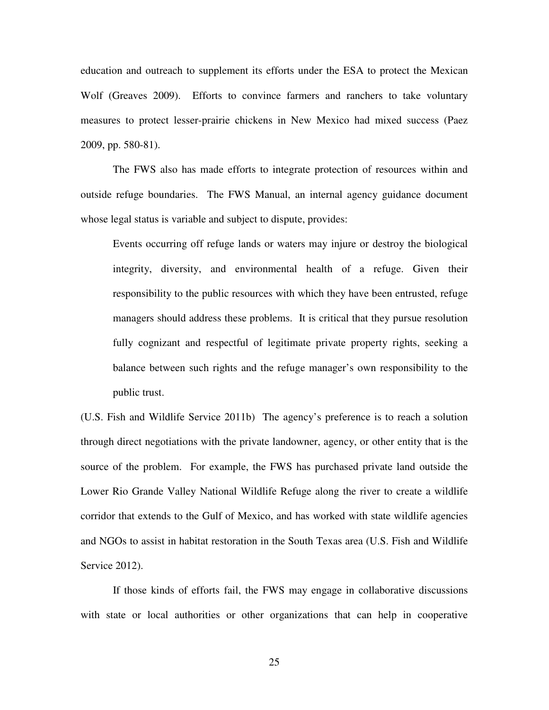education and outreach to supplement its efforts under the ESA to protect the Mexican Wolf (Greaves 2009). Efforts to convince farmers and ranchers to take voluntary measures to protect lesser-prairie chickens in New Mexico had mixed success (Paez 2009, pp. 580-81).

The FWS also has made efforts to integrate protection of resources within and outside refuge boundaries. The FWS Manual, an internal agency guidance document whose legal status is variable and subject to dispute, provides:

Events occurring off refuge lands or waters may injure or destroy the biological integrity, diversity, and environmental health of a refuge. Given their responsibility to the public resources with which they have been entrusted, refuge managers should address these problems. It is critical that they pursue resolution fully cognizant and respectful of legitimate private property rights, seeking a balance between such rights and the refuge manager's own responsibility to the public trust.

(U.S. Fish and Wildlife Service 2011b) The agency's preference is to reach a solution through direct negotiations with the private landowner, agency, or other entity that is the source of the problem. For example, the FWS has purchased private land outside the Lower Rio Grande Valley National Wildlife Refuge along the river to create a wildlife corridor that extends to the Gulf of Mexico, and has worked with state wildlife agencies and NGOs to assist in habitat restoration in the South Texas area (U.S. Fish and Wildlife Service 2012).

If those kinds of efforts fail, the FWS may engage in collaborative discussions with state or local authorities or other organizations that can help in cooperative

25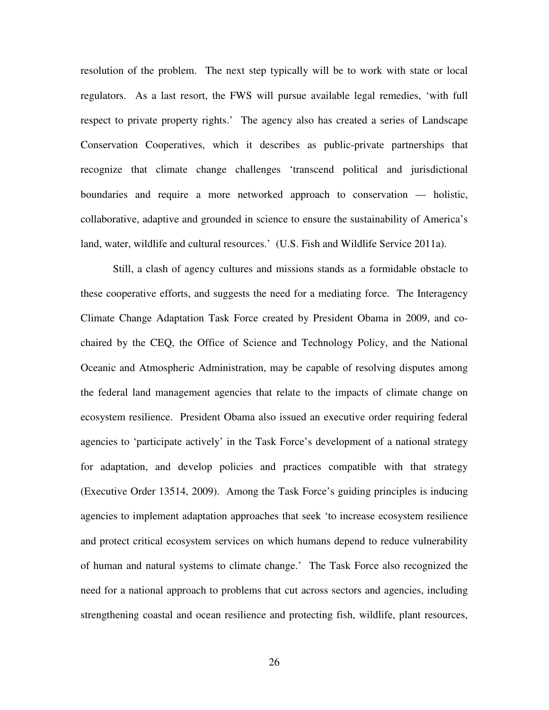resolution of the problem. The next step typically will be to work with state or local regulators. As a last resort, the FWS will pursue available legal remedies, 'with full respect to private property rights.' The agency also has created a series of Landscape Conservation Cooperatives, which it describes as public-private partnerships that recognize that climate change challenges 'transcend political and jurisdictional boundaries and require a more networked approach to conservation — holistic, collaborative, adaptive and grounded in science to ensure the sustainability of America's land, water, wildlife and cultural resources.' (U.S. Fish and Wildlife Service 2011a).

Still, a clash of agency cultures and missions stands as a formidable obstacle to these cooperative efforts, and suggests the need for a mediating force. The Interagency Climate Change Adaptation Task Force created by President Obama in 2009, and cochaired by the CEQ, the Office of Science and Technology Policy, and the National Oceanic and Atmospheric Administration, may be capable of resolving disputes among the federal land management agencies that relate to the impacts of climate change on ecosystem resilience. President Obama also issued an executive order requiring federal agencies to 'participate actively' in the Task Force's development of a national strategy for adaptation, and develop policies and practices compatible with that strategy (Executive Order 13514, 2009). Among the Task Force's guiding principles is inducing agencies to implement adaptation approaches that seek 'to increase ecosystem resilience and protect critical ecosystem services on which humans depend to reduce vulnerability of human and natural systems to climate change.' The Task Force also recognized the need for a national approach to problems that cut across sectors and agencies, including strengthening coastal and ocean resilience and protecting fish, wildlife, plant resources,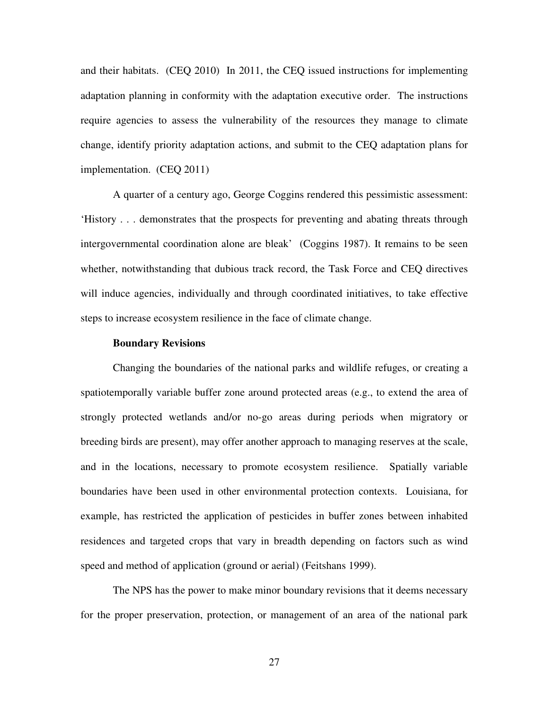and their habitats. (CEQ 2010) In 2011, the CEQ issued instructions for implementing adaptation planning in conformity with the adaptation executive order. The instructions require agencies to assess the vulnerability of the resources they manage to climate change, identify priority adaptation actions, and submit to the CEQ adaptation plans for implementation. (CEQ 2011)

A quarter of a century ago, George Coggins rendered this pessimistic assessment: 'History . . . demonstrates that the prospects for preventing and abating threats through intergovernmental coordination alone are bleak' (Coggins 1987). It remains to be seen whether, notwithstanding that dubious track record, the Task Force and CEQ directives will induce agencies, individually and through coordinated initiatives, to take effective steps to increase ecosystem resilience in the face of climate change.

## **Boundary Revisions**

Changing the boundaries of the national parks and wildlife refuges, or creating a spatiotemporally variable buffer zone around protected areas (e.g., to extend the area of strongly protected wetlands and/or no-go areas during periods when migratory or breeding birds are present), may offer another approach to managing reserves at the scale, and in the locations, necessary to promote ecosystem resilience. Spatially variable boundaries have been used in other environmental protection contexts. Louisiana, for example, has restricted the application of pesticides in buffer zones between inhabited residences and targeted crops that vary in breadth depending on factors such as wind speed and method of application (ground or aerial) (Feitshans 1999).

The NPS has the power to make minor boundary revisions that it deems necessary for the proper preservation, protection, or management of an area of the national park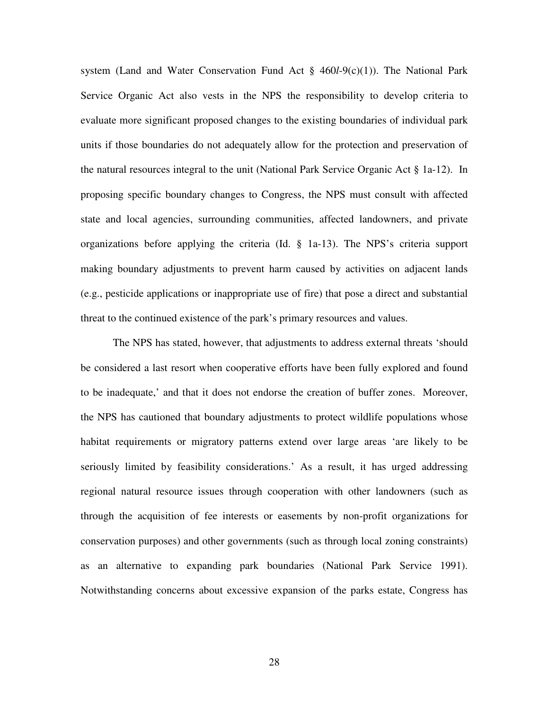system (Land and Water Conservation Fund Act § 460*l*-9(c)(1)). The National Park Service Organic Act also vests in the NPS the responsibility to develop criteria to evaluate more significant proposed changes to the existing boundaries of individual park units if those boundaries do not adequately allow for the protection and preservation of the natural resources integral to the unit (National Park Service Organic Act § 1a-12). In proposing specific boundary changes to Congress, the NPS must consult with affected state and local agencies, surrounding communities, affected landowners, and private organizations before applying the criteria (Id. § 1a-13). The NPS's criteria support making boundary adjustments to prevent harm caused by activities on adjacent lands (e.g., pesticide applications or inappropriate use of fire) that pose a direct and substantial threat to the continued existence of the park's primary resources and values.

The NPS has stated, however, that adjustments to address external threats 'should be considered a last resort when cooperative efforts have been fully explored and found to be inadequate,' and that it does not endorse the creation of buffer zones. Moreover, the NPS has cautioned that boundary adjustments to protect wildlife populations whose habitat requirements or migratory patterns extend over large areas 'are likely to be seriously limited by feasibility considerations.' As a result, it has urged addressing regional natural resource issues through cooperation with other landowners (such as through the acquisition of fee interests or easements by non-profit organizations for conservation purposes) and other governments (such as through local zoning constraints) as an alternative to expanding park boundaries (National Park Service 1991). Notwithstanding concerns about excessive expansion of the parks estate, Congress has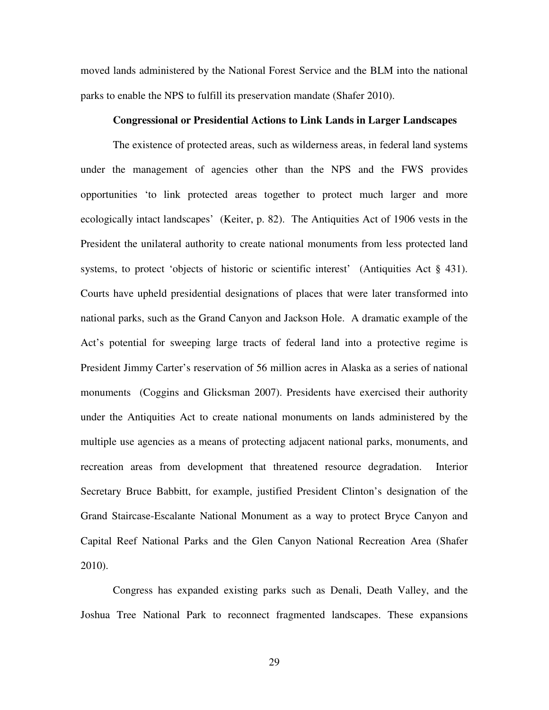moved lands administered by the National Forest Service and the BLM into the national parks to enable the NPS to fulfill its preservation mandate (Shafer 2010).

## **Congressional or Presidential Actions to Link Lands in Larger Landscapes**

The existence of protected areas, such as wilderness areas, in federal land systems under the management of agencies other than the NPS and the FWS provides opportunities 'to link protected areas together to protect much larger and more ecologically intact landscapes' (Keiter, p. 82). The Antiquities Act of 1906 vests in the President the unilateral authority to create national monuments from less protected land systems, to protect 'objects of historic or scientific interest' (Antiquities Act § 431). Courts have upheld presidential designations of places that were later transformed into national parks, such as the Grand Canyon and Jackson Hole. A dramatic example of the Act's potential for sweeping large tracts of federal land into a protective regime is President Jimmy Carter's reservation of 56 million acres in Alaska as a series of national monuments (Coggins and Glicksman 2007). Presidents have exercised their authority under the Antiquities Act to create national monuments on lands administered by the multiple use agencies as a means of protecting adjacent national parks, monuments, and recreation areas from development that threatened resource degradation. Interior Secretary Bruce Babbitt, for example, justified President Clinton's designation of the Grand Staircase-Escalante National Monument as a way to protect Bryce Canyon and Capital Reef National Parks and the Glen Canyon National Recreation Area (Shafer 2010).

Congress has expanded existing parks such as Denali, Death Valley, and the Joshua Tree National Park to reconnect fragmented landscapes. These expansions

29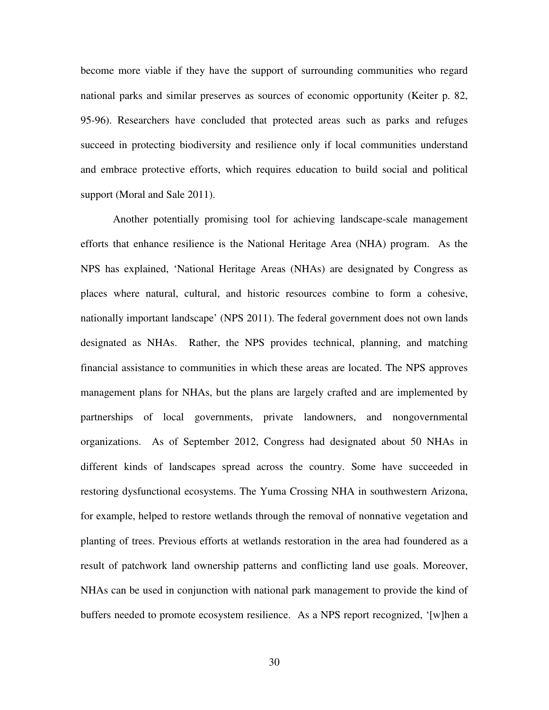become more viable if they have the support of surrounding communities who regard national parks and similar preserves as sources of economic opportunity (Keiter p. 82, 95-96). Researchers have concluded that protected areas such as parks and refuges succeed in protecting biodiversity and resilience only if local communities understand and embrace protective efforts, which requires education to build social and political support (Moral and Sale 2011).

Another potentially promising tool for achieving landscape-scale management efforts that enhance resilience is the National Heritage Area (NHA) program. As the NPS has explained, 'National Heritage Areas (NHAs) are designated by Congress as places where natural, cultural, and historic resources combine to form a cohesive, nationally important landscape' (NPS 2011). The federal government does not own lands designated as NHAs. Rather, the NPS provides technical, planning, and matching financial assistance to communities in which these areas are located. The NPS approves management plans for NHAs, but the plans are largely crafted and are implemented by partnerships of local governments, private landowners, and nongovernmental organizations. As of September 2012, Congress had designated about 50 NHAs in different kinds of landscapes spread across the country. Some have succeeded in restoring dysfunctional ecosystems. The Yuma Crossing NHA in southwestern Arizona, for example, helped to restore wetlands through the removal of nonnative vegetation and planting of trees. Previous efforts at wetlands restoration in the area had foundered as a result of patchwork land ownership patterns and conflicting land use goals. Moreover, NHAs can be used in conjunction with national park management to provide the kind of buffers needed to promote ecosystem resilience. As a NPS report recognized, '[w]hen a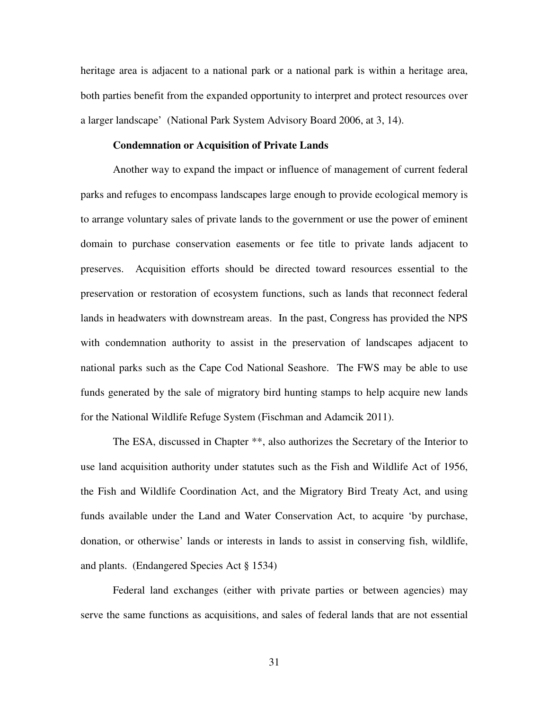heritage area is adjacent to a national park or a national park is within a heritage area, both parties benefit from the expanded opportunity to interpret and protect resources over a larger landscape' (National Park System Advisory Board 2006, at 3, 14).

## **Condemnation or Acquisition of Private Lands**

Another way to expand the impact or influence of management of current federal parks and refuges to encompass landscapes large enough to provide ecological memory is to arrange voluntary sales of private lands to the government or use the power of eminent domain to purchase conservation easements or fee title to private lands adjacent to preserves. Acquisition efforts should be directed toward resources essential to the preservation or restoration of ecosystem functions, such as lands that reconnect federal lands in headwaters with downstream areas. In the past, Congress has provided the NPS with condemnation authority to assist in the preservation of landscapes adjacent to national parks such as the Cape Cod National Seashore. The FWS may be able to use funds generated by the sale of migratory bird hunting stamps to help acquire new lands for the National Wildlife Refuge System (Fischman and Adamcik 2011).

The ESA, discussed in Chapter \*\*, also authorizes the Secretary of the Interior to use land acquisition authority under statutes such as the Fish and Wildlife Act of 1956, the Fish and Wildlife Coordination Act, and the Migratory Bird Treaty Act, and using funds available under the Land and Water Conservation Act, to acquire 'by purchase, donation, or otherwise' lands or interests in lands to assist in conserving fish, wildlife, and plants. (Endangered Species Act § 1534)

Federal land exchanges (either with private parties or between agencies) may serve the same functions as acquisitions, and sales of federal lands that are not essential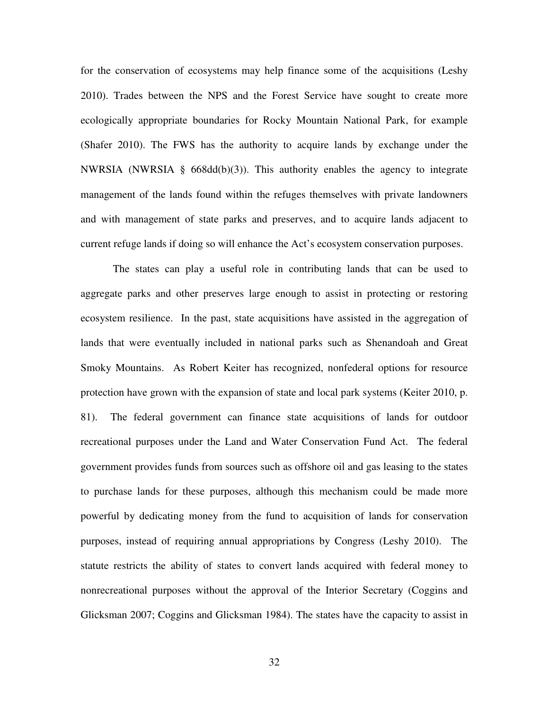for the conservation of ecosystems may help finance some of the acquisitions (Leshy 2010). Trades between the NPS and the Forest Service have sought to create more ecologically appropriate boundaries for Rocky Mountain National Park, for example (Shafer 2010). The FWS has the authority to acquire lands by exchange under the NWRSIA (NWRSIA § 668dd(b)(3)). This authority enables the agency to integrate management of the lands found within the refuges themselves with private landowners and with management of state parks and preserves, and to acquire lands adjacent to current refuge lands if doing so will enhance the Act's ecosystem conservation purposes.

The states can play a useful role in contributing lands that can be used to aggregate parks and other preserves large enough to assist in protecting or restoring ecosystem resilience. In the past, state acquisitions have assisted in the aggregation of lands that were eventually included in national parks such as Shenandoah and Great Smoky Mountains. As Robert Keiter has recognized, nonfederal options for resource protection have grown with the expansion of state and local park systems (Keiter 2010, p. 81). The federal government can finance state acquisitions of lands for outdoor recreational purposes under the Land and Water Conservation Fund Act. The federal government provides funds from sources such as offshore oil and gas leasing to the states to purchase lands for these purposes, although this mechanism could be made more powerful by dedicating money from the fund to acquisition of lands for conservation purposes, instead of requiring annual appropriations by Congress (Leshy 2010). The statute restricts the ability of states to convert lands acquired with federal money to nonrecreational purposes without the approval of the Interior Secretary (Coggins and Glicksman 2007; Coggins and Glicksman 1984). The states have the capacity to assist in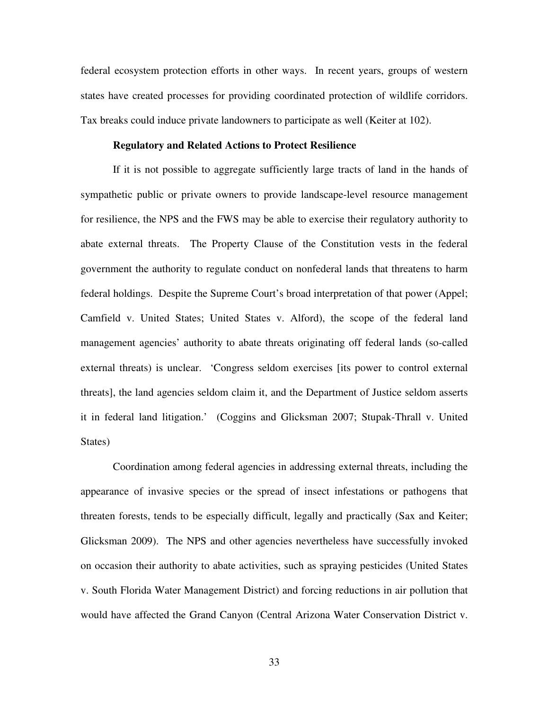federal ecosystem protection efforts in other ways. In recent years, groups of western states have created processes for providing coordinated protection of wildlife corridors. Tax breaks could induce private landowners to participate as well (Keiter at 102).

## **Regulatory and Related Actions to Protect Resilience**

If it is not possible to aggregate sufficiently large tracts of land in the hands of sympathetic public or private owners to provide landscape-level resource management for resilience, the NPS and the FWS may be able to exercise their regulatory authority to abate external threats. The Property Clause of the Constitution vests in the federal government the authority to regulate conduct on nonfederal lands that threatens to harm federal holdings. Despite the Supreme Court's broad interpretation of that power (Appel; Camfield v. United States; United States v. Alford), the scope of the federal land management agencies' authority to abate threats originating off federal lands (so-called external threats) is unclear. 'Congress seldom exercises [its power to control external threats], the land agencies seldom claim it, and the Department of Justice seldom asserts it in federal land litigation.' (Coggins and Glicksman 2007; Stupak-Thrall v. United States)

Coordination among federal agencies in addressing external threats, including the appearance of invasive species or the spread of insect infestations or pathogens that threaten forests, tends to be especially difficult, legally and practically (Sax and Keiter; Glicksman 2009). The NPS and other agencies nevertheless have successfully invoked on occasion their authority to abate activities, such as spraying pesticides (United States v. South Florida Water Management District) and forcing reductions in air pollution that would have affected the Grand Canyon (Central Arizona Water Conservation District v.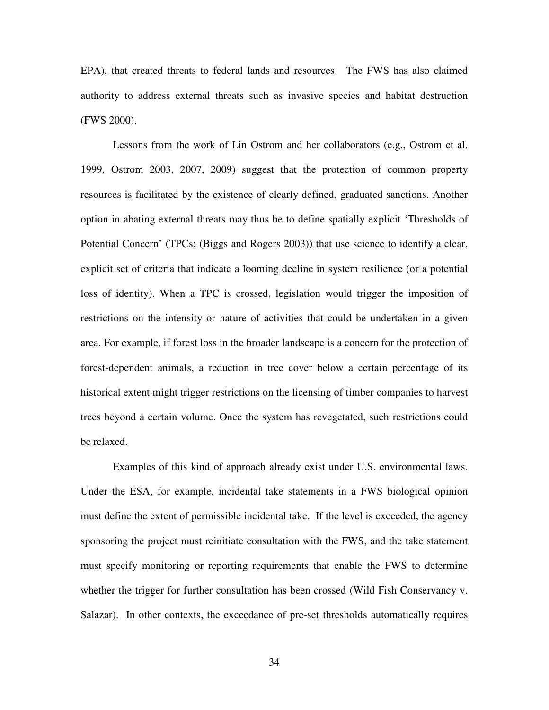EPA), that created threats to federal lands and resources. The FWS has also claimed authority to address external threats such as invasive species and habitat destruction (FWS 2000).

Lessons from the work of Lin Ostrom and her collaborators (e.g., Ostrom et al. 1999, Ostrom 2003, 2007, 2009) suggest that the protection of common property resources is facilitated by the existence of clearly defined, graduated sanctions. Another option in abating external threats may thus be to define spatially explicit 'Thresholds of Potential Concern' (TPCs; (Biggs and Rogers 2003)) that use science to identify a clear, explicit set of criteria that indicate a looming decline in system resilience (or a potential loss of identity). When a TPC is crossed, legislation would trigger the imposition of restrictions on the intensity or nature of activities that could be undertaken in a given area. For example, if forest loss in the broader landscape is a concern for the protection of forest-dependent animals, a reduction in tree cover below a certain percentage of its historical extent might trigger restrictions on the licensing of timber companies to harvest trees beyond a certain volume. Once the system has revegetated, such restrictions could be relaxed.

Examples of this kind of approach already exist under U.S. environmental laws. Under the ESA, for example, incidental take statements in a FWS biological opinion must define the extent of permissible incidental take. If the level is exceeded, the agency sponsoring the project must reinitiate consultation with the FWS, and the take statement must specify monitoring or reporting requirements that enable the FWS to determine whether the trigger for further consultation has been crossed (Wild Fish Conservancy v. Salazar). In other contexts, the exceedance of pre-set thresholds automatically requires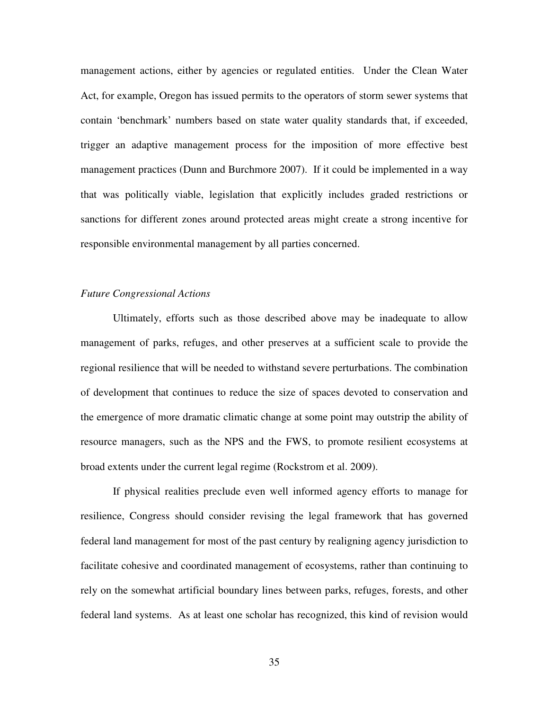management actions, either by agencies or regulated entities. Under the Clean Water Act, for example, Oregon has issued permits to the operators of storm sewer systems that contain 'benchmark' numbers based on state water quality standards that, if exceeded, trigger an adaptive management process for the imposition of more effective best management practices (Dunn and Burchmore 2007). If it could be implemented in a way that was politically viable, legislation that explicitly includes graded restrictions or sanctions for different zones around protected areas might create a strong incentive for responsible environmental management by all parties concerned.

## *Future Congressional Actions*

Ultimately, efforts such as those described above may be inadequate to allow management of parks, refuges, and other preserves at a sufficient scale to provide the regional resilience that will be needed to withstand severe perturbations. The combination of development that continues to reduce the size of spaces devoted to conservation and the emergence of more dramatic climatic change at some point may outstrip the ability of resource managers, such as the NPS and the FWS, to promote resilient ecosystems at broad extents under the current legal regime (Rockstrom et al. 2009).

If physical realities preclude even well informed agency efforts to manage for resilience, Congress should consider revising the legal framework that has governed federal land management for most of the past century by realigning agency jurisdiction to facilitate cohesive and coordinated management of ecosystems, rather than continuing to rely on the somewhat artificial boundary lines between parks, refuges, forests, and other federal land systems. As at least one scholar has recognized, this kind of revision would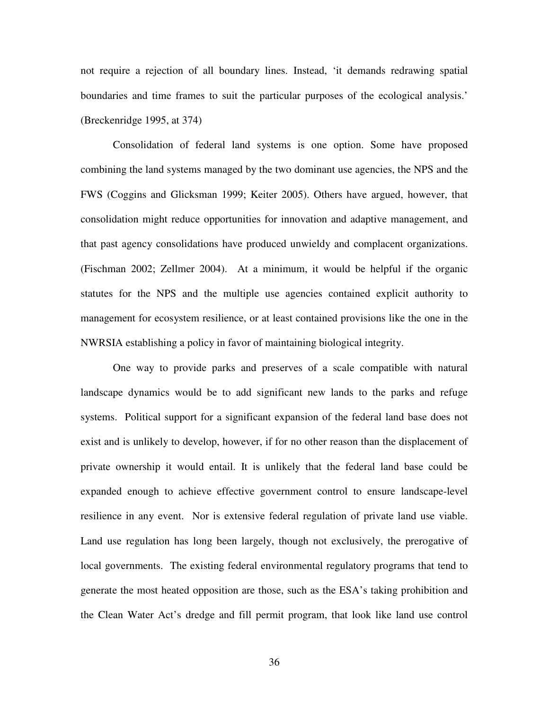not require a rejection of all boundary lines. Instead, 'it demands redrawing spatial boundaries and time frames to suit the particular purposes of the ecological analysis.' (Breckenridge 1995, at 374)

Consolidation of federal land systems is one option. Some have proposed combining the land systems managed by the two dominant use agencies, the NPS and the FWS (Coggins and Glicksman 1999; Keiter 2005). Others have argued, however, that consolidation might reduce opportunities for innovation and adaptive management, and that past agency consolidations have produced unwieldy and complacent organizations. (Fischman 2002; Zellmer 2004). At a minimum, it would be helpful if the organic statutes for the NPS and the multiple use agencies contained explicit authority to management for ecosystem resilience, or at least contained provisions like the one in the NWRSIA establishing a policy in favor of maintaining biological integrity.

One way to provide parks and preserves of a scale compatible with natural landscape dynamics would be to add significant new lands to the parks and refuge systems. Political support for a significant expansion of the federal land base does not exist and is unlikely to develop, however, if for no other reason than the displacement of private ownership it would entail. It is unlikely that the federal land base could be expanded enough to achieve effective government control to ensure landscape-level resilience in any event. Nor is extensive federal regulation of private land use viable. Land use regulation has long been largely, though not exclusively, the prerogative of local governments. The existing federal environmental regulatory programs that tend to generate the most heated opposition are those, such as the ESA's taking prohibition and the Clean Water Act's dredge and fill permit program, that look like land use control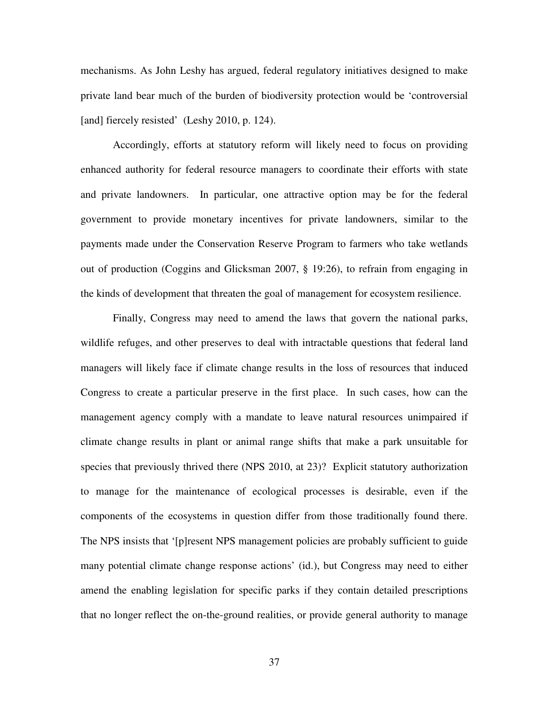mechanisms. As John Leshy has argued, federal regulatory initiatives designed to make private land bear much of the burden of biodiversity protection would be 'controversial [and] fiercely resisted' (Leshy 2010, p. 124).

Accordingly, efforts at statutory reform will likely need to focus on providing enhanced authority for federal resource managers to coordinate their efforts with state and private landowners. In particular, one attractive option may be for the federal government to provide monetary incentives for private landowners, similar to the payments made under the Conservation Reserve Program to farmers who take wetlands out of production (Coggins and Glicksman 2007, § 19:26), to refrain from engaging in the kinds of development that threaten the goal of management for ecosystem resilience.

Finally, Congress may need to amend the laws that govern the national parks, wildlife refuges, and other preserves to deal with intractable questions that federal land managers will likely face if climate change results in the loss of resources that induced Congress to create a particular preserve in the first place. In such cases, how can the management agency comply with a mandate to leave natural resources unimpaired if climate change results in plant or animal range shifts that make a park unsuitable for species that previously thrived there (NPS 2010, at 23)? Explicit statutory authorization to manage for the maintenance of ecological processes is desirable, even if the components of the ecosystems in question differ from those traditionally found there. The NPS insists that '[p]resent NPS management policies are probably sufficient to guide many potential climate change response actions' (id.), but Congress may need to either amend the enabling legislation for specific parks if they contain detailed prescriptions that no longer reflect the on-the-ground realities, or provide general authority to manage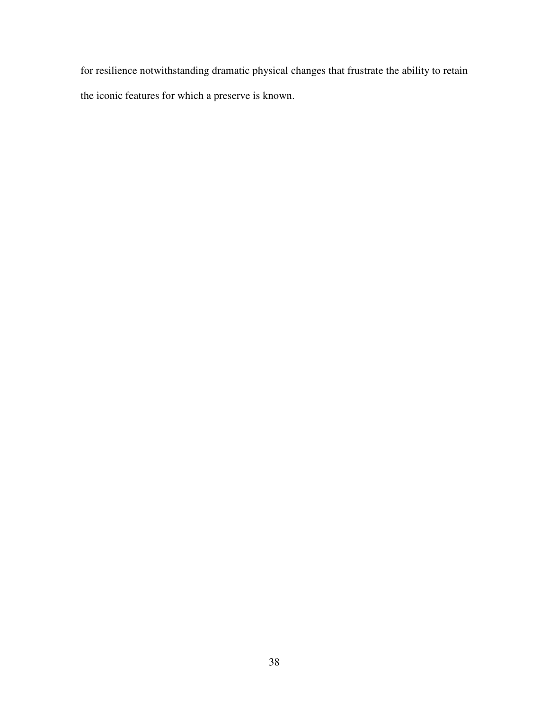for resilience notwithstanding dramatic physical changes that frustrate the ability to retain the iconic features for which a preserve is known.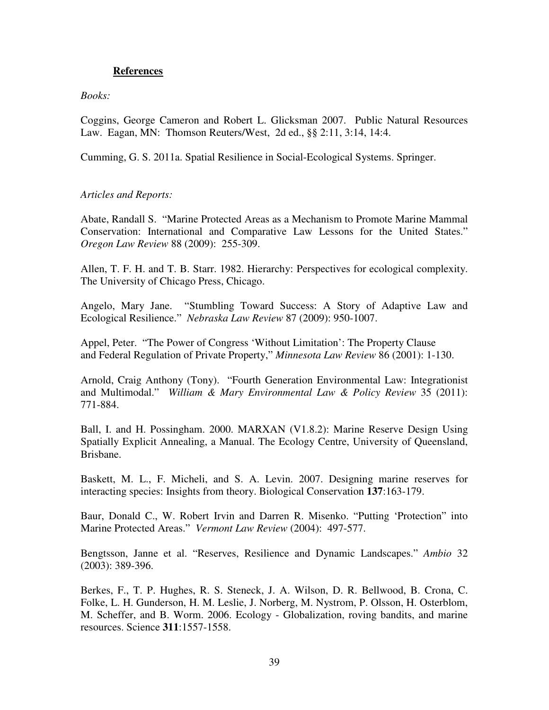# **References**

# *Books:*

Coggins, George Cameron and Robert L. Glicksman 2007. Public Natural Resources Law. Eagan, MN: Thomson Reuters/West, 2d ed., §§ 2:11, 3:14, 14:4.

Cumming, G. S. 2011a. Spatial Resilience in Social-Ecological Systems. Springer.

# *Articles and Reports:*

Abate, Randall S. "Marine Protected Areas as a Mechanism to Promote Marine Mammal Conservation: International and Comparative Law Lessons for the United States." *Oregon Law Review* 88 (2009): 255-309.

Allen, T. F. H. and T. B. Starr. 1982. Hierarchy: Perspectives for ecological complexity. The University of Chicago Press, Chicago.

Angelo, Mary Jane. "Stumbling Toward Success: A Story of Adaptive Law and Ecological Resilience." *Nebraska Law Review* 87 (2009): 950-1007.

Appel, Peter. "The Power of Congress 'Without Limitation': The Property Clause and Federal Regulation of Private Property," *Minnesota Law Review* 86 (2001): 1-130.

Arnold, Craig Anthony (Tony). "Fourth Generation Environmental Law: Integrationist and Multimodal." *William & Mary Environmental Law & Policy Review* 35 (2011): 771-884.

Ball, I. and H. Possingham. 2000. MARXAN (V1.8.2): Marine Reserve Design Using Spatially Explicit Annealing, a Manual. The Ecology Centre, University of Queensland, Brisbane.

Baskett, M. L., F. Micheli, and S. A. Levin. 2007. Designing marine reserves for interacting species: Insights from theory. Biological Conservation **137**:163-179.

Baur, Donald C., W. Robert Irvin and Darren R. Misenko. "Putting 'Protection" into Marine Protected Areas." *Vermont Law Review* (2004): 497-577.

Bengtsson, Janne et al. "Reserves, Resilience and Dynamic Landscapes." *Ambio* 32 (2003): 389-396.

Berkes, F., T. P. Hughes, R. S. Steneck, J. A. Wilson, D. R. Bellwood, B. Crona, C. Folke, L. H. Gunderson, H. M. Leslie, J. Norberg, M. Nystrom, P. Olsson, H. Osterblom, M. Scheffer, and B. Worm. 2006. Ecology - Globalization, roving bandits, and marine resources. Science **311**:1557-1558.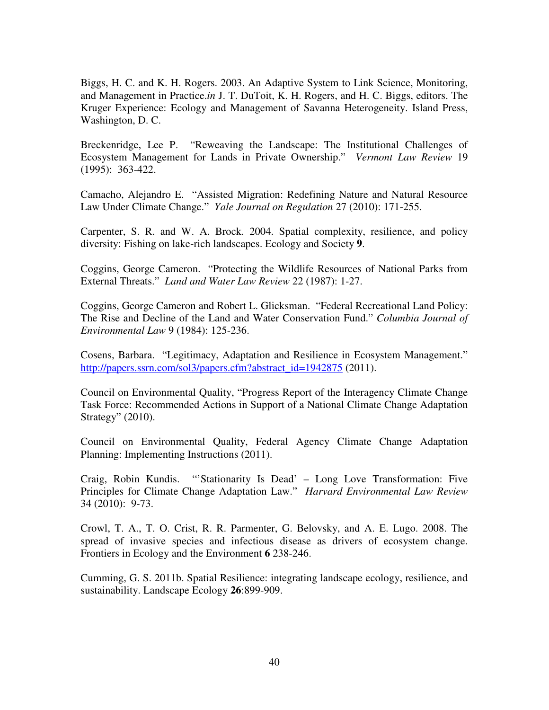Biggs, H. C. and K. H. Rogers. 2003. An Adaptive System to Link Science, Monitoring, and Management in Practice.*in* J. T. DuToit, K. H. Rogers, and H. C. Biggs, editors. The Kruger Experience: Ecology and Management of Savanna Heterogeneity. Island Press, Washington, D. C.

Breckenridge, Lee P. "Reweaving the Landscape: The Institutional Challenges of Ecosystem Management for Lands in Private Ownership." *Vermont Law Review* 19 (1995): 363-422.

Camacho, Alejandro E. "Assisted Migration: Redefining Nature and Natural Resource Law Under Climate Change." *Yale Journal on Regulation* 27 (2010): 171-255.

Carpenter, S. R. and W. A. Brock. 2004. Spatial complexity, resilience, and policy diversity: Fishing on lake-rich landscapes. Ecology and Society **9**.

Coggins, George Cameron. "Protecting the Wildlife Resources of National Parks from External Threats." *Land and Water Law Review* 22 (1987): 1-27.

Coggins, George Cameron and Robert L. Glicksman. "Federal Recreational Land Policy: The Rise and Decline of the Land and Water Conservation Fund." *Columbia Journal of Environmental Law* 9 (1984): 125-236.

Cosens, Barbara. "Legitimacy, Adaptation and Resilience in Ecosystem Management." http://papers.ssrn.com/sol3/papers.cfm?abstract\_id=1942875 (2011).

Council on Environmental Quality, "Progress Report of the Interagency Climate Change Task Force: Recommended Actions in Support of a National Climate Change Adaptation Strategy" (2010).

Council on Environmental Quality, Federal Agency Climate Change Adaptation Planning: Implementing Instructions (2011).

Craig, Robin Kundis. "'Stationarity Is Dead' – Long Love Transformation: Five Principles for Climate Change Adaptation Law." *Harvard Environmental Law Review* 34 (2010): 9-73.

Crowl, T. A., T. O. Crist, R. R. Parmenter, G. Belovsky, and A. E. Lugo. 2008. The spread of invasive species and infectious disease as drivers of ecosystem change. Frontiers in Ecology and the Environment **6** 238-246.

Cumming, G. S. 2011b. Spatial Resilience: integrating landscape ecology, resilience, and sustainability. Landscape Ecology **26**:899-909.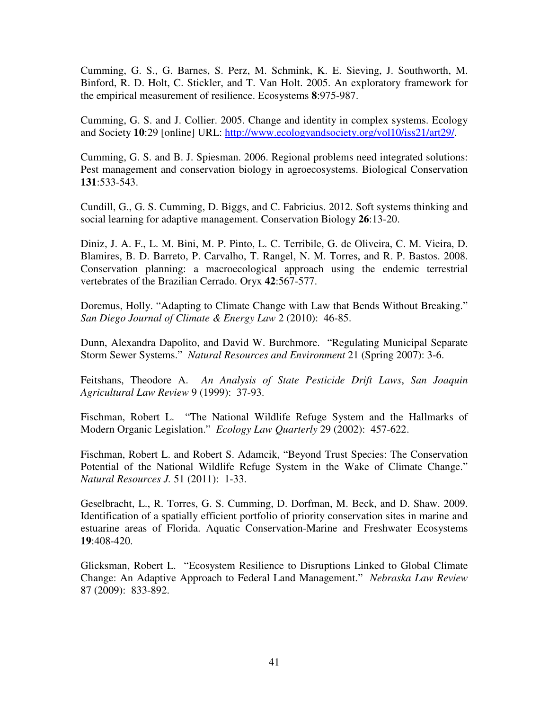Cumming, G. S., G. Barnes, S. Perz, M. Schmink, K. E. Sieving, J. Southworth, M. Binford, R. D. Holt, C. Stickler, and T. Van Holt. 2005. An exploratory framework for the empirical measurement of resilience. Ecosystems **8**:975-987.

Cumming, G. S. and J. Collier. 2005. Change and identity in complex systems. Ecology and Society **10**:29 [online] URL: http://www.ecologyandsociety.org/vol10/iss21/art29/.

Cumming, G. S. and B. J. Spiesman. 2006. Regional problems need integrated solutions: Pest management and conservation biology in agroecosystems. Biological Conservation **131**:533-543.

Cundill, G., G. S. Cumming, D. Biggs, and C. Fabricius. 2012. Soft systems thinking and social learning for adaptive management. Conservation Biology **26**:13-20.

Diniz, J. A. F., L. M. Bini, M. P. Pinto, L. C. Terribile, G. de Oliveira, C. M. Vieira, D. Blamires, B. D. Barreto, P. Carvalho, T. Rangel, N. M. Torres, and R. P. Bastos. 2008. Conservation planning: a macroecological approach using the endemic terrestrial vertebrates of the Brazilian Cerrado. Oryx **42**:567-577.

Doremus, Holly. "Adapting to Climate Change with Law that Bends Without Breaking." *San Diego Journal of Climate & Energy Law* 2 (2010): 46-85.

Dunn, Alexandra Dapolito, and David W. Burchmore. "Regulating Municipal Separate Storm Sewer Systems." *Natural Resources and Environment* 21 (Spring 2007): 3-6.

Feitshans, Theodore A. *An Analysis of State Pesticide Drift Laws*, *San Joaquin Agricultural Law Review* 9 (1999): 37-93.

Fischman, Robert L. "The National Wildlife Refuge System and the Hallmarks of Modern Organic Legislation." *Ecology Law Quarterly* 29 (2002): 457-622.

Fischman, Robert L. and Robert S. Adamcik, "Beyond Trust Species: The Conservation Potential of the National Wildlife Refuge System in the Wake of Climate Change." *Natural Resources J.* 51 (2011): 1-33.

Geselbracht, L., R. Torres, G. S. Cumming, D. Dorfman, M. Beck, and D. Shaw. 2009. Identification of a spatially efficient portfolio of priority conservation sites in marine and estuarine areas of Florida. Aquatic Conservation-Marine and Freshwater Ecosystems **19**:408-420.

Glicksman, Robert L. "Ecosystem Resilience to Disruptions Linked to Global Climate Change: An Adaptive Approach to Federal Land Management." *Nebraska Law Review* 87 (2009): 833-892.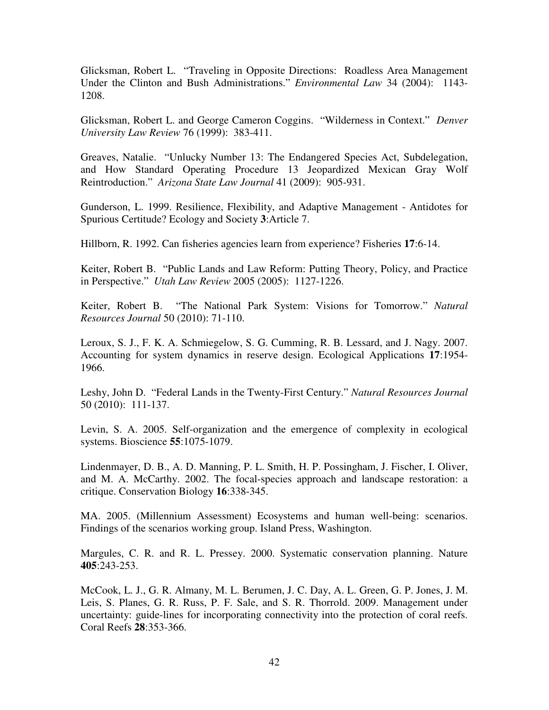Glicksman, Robert L. "Traveling in Opposite Directions: Roadless Area Management Under the Clinton and Bush Administrations." *Environmental Law* 34 (2004): 1143- 1208.

Glicksman, Robert L. and George Cameron Coggins. "Wilderness in Context." *Denver University Law Review* 76 (1999): 383-411.

Greaves, Natalie. "Unlucky Number 13: The Endangered Species Act, Subdelegation, and How Standard Operating Procedure 13 Jeopardized Mexican Gray Wolf Reintroduction." *Arizona State Law Journal* 41 (2009): 905-931.

Gunderson, L. 1999. Resilience, Flexibility, and Adaptive Management - Antidotes for Spurious Certitude? Ecology and Society **3**:Article 7.

Hillborn, R. 1992. Can fisheries agencies learn from experience? Fisheries **17**:6-14.

Keiter, Robert B. "Public Lands and Law Reform: Putting Theory, Policy, and Practice in Perspective." *Utah Law Review* 2005 (2005): 1127-1226.

Keiter, Robert B. "The National Park System: Visions for Tomorrow." *Natural Resources Journal* 50 (2010): 71-110.

Leroux, S. J., F. K. A. Schmiegelow, S. G. Cumming, R. B. Lessard, and J. Nagy. 2007. Accounting for system dynamics in reserve design. Ecological Applications **17**:1954- 1966.

Leshy, John D. "Federal Lands in the Twenty-First Century." *Natural Resources Journal* 50 (2010): 111-137.

Levin, S. A. 2005. Self-organization and the emergence of complexity in ecological systems. Bioscience **55**:1075-1079.

Lindenmayer, D. B., A. D. Manning, P. L. Smith, H. P. Possingham, J. Fischer, I. Oliver, and M. A. McCarthy. 2002. The focal-species approach and landscape restoration: a critique. Conservation Biology **16**:338-345.

MA. 2005. (Millennium Assessment) Ecosystems and human well-being: scenarios. Findings of the scenarios working group. Island Press, Washington.

Margules, C. R. and R. L. Pressey. 2000. Systematic conservation planning. Nature **405**:243-253.

McCook, L. J., G. R. Almany, M. L. Berumen, J. C. Day, A. L. Green, G. P. Jones, J. M. Leis, S. Planes, G. R. Russ, P. F. Sale, and S. R. Thorrold. 2009. Management under uncertainty: guide-lines for incorporating connectivity into the protection of coral reefs. Coral Reefs **28**:353-366.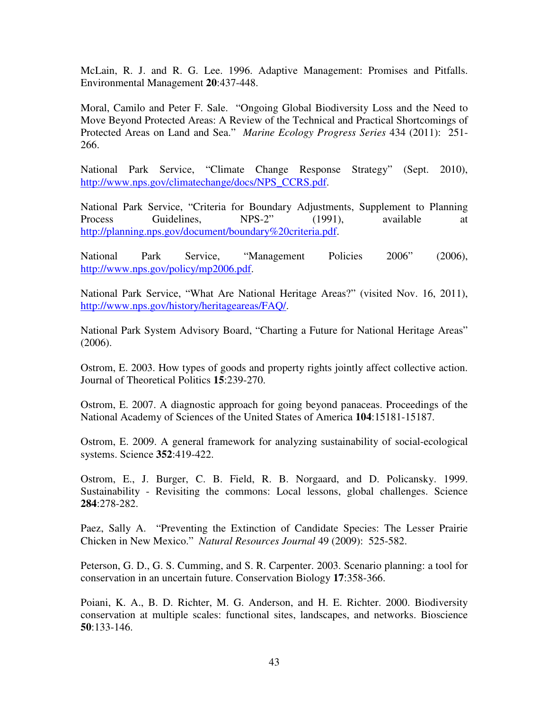McLain, R. J. and R. G. Lee. 1996. Adaptive Management: Promises and Pitfalls. Environmental Management **20**:437-448.

Moral, Camilo and Peter F. Sale. "Ongoing Global Biodiversity Loss and the Need to Move Beyond Protected Areas: A Review of the Technical and Practical Shortcomings of Protected Areas on Land and Sea." *Marine Ecology Progress Series* 434 (2011): 251- 266.

National Park Service, "Climate Change Response Strategy" (Sept. 2010), http://www.nps.gov/climatechange/docs/NPS\_CCRS.pdf.

National Park Service, "Criteria for Boundary Adjustments, Supplement to Planning Process Guidelines, NPS-2" (1991), available at http://planning.nps.gov/document/boundary%20criteria.pdf.

National Park Service, "Management Policies 2006" (2006), http://www.nps.gov/policy/mp2006.pdf.

National Park Service, "What Are National Heritage Areas?" (visited Nov. 16, 2011), http://www.nps.gov/history/heritageareas/FAQ/.

National Park System Advisory Board, "Charting a Future for National Heritage Areas" (2006).

Ostrom, E. 2003. How types of goods and property rights jointly affect collective action. Journal of Theoretical Politics **15**:239-270.

Ostrom, E. 2007. A diagnostic approach for going beyond panaceas. Proceedings of the National Academy of Sciences of the United States of America **104**:15181-15187.

Ostrom, E. 2009. A general framework for analyzing sustainability of social-ecological systems. Science **352**:419-422.

Ostrom, E., J. Burger, C. B. Field, R. B. Norgaard, and D. Policansky. 1999. Sustainability - Revisiting the commons: Local lessons, global challenges. Science **284**:278-282.

Paez, Sally A. "Preventing the Extinction of Candidate Species: The Lesser Prairie Chicken in New Mexico." *Natural Resources Journal* 49 (2009): 525-582.

Peterson, G. D., G. S. Cumming, and S. R. Carpenter. 2003. Scenario planning: a tool for conservation in an uncertain future. Conservation Biology **17**:358-366.

Poiani, K. A., B. D. Richter, M. G. Anderson, and H. E. Richter. 2000. Biodiversity conservation at multiple scales: functional sites, landscapes, and networks. Bioscience **50**:133-146.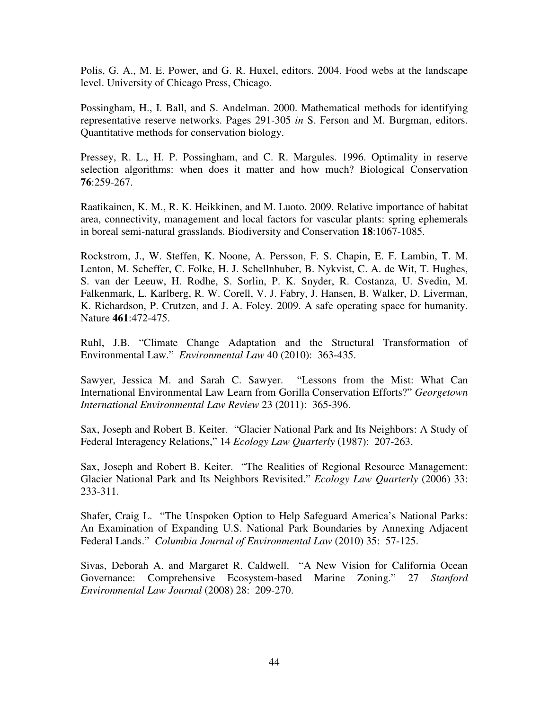Polis, G. A., M. E. Power, and G. R. Huxel, editors. 2004. Food webs at the landscape level. University of Chicago Press, Chicago.

Possingham, H., I. Ball, and S. Andelman. 2000. Mathematical methods for identifying representative reserve networks. Pages 291-305 *in* S. Ferson and M. Burgman, editors. Quantitative methods for conservation biology.

Pressey, R. L., H. P. Possingham, and C. R. Margules. 1996. Optimality in reserve selection algorithms: when does it matter and how much? Biological Conservation **76**:259-267.

Raatikainen, K. M., R. K. Heikkinen, and M. Luoto. 2009. Relative importance of habitat area, connectivity, management and local factors for vascular plants: spring ephemerals in boreal semi-natural grasslands. Biodiversity and Conservation **18**:1067-1085.

Rockstrom, J., W. Steffen, K. Noone, A. Persson, F. S. Chapin, E. F. Lambin, T. M. Lenton, M. Scheffer, C. Folke, H. J. Schellnhuber, B. Nykvist, C. A. de Wit, T. Hughes, S. van der Leeuw, H. Rodhe, S. Sorlin, P. K. Snyder, R. Costanza, U. Svedin, M. Falkenmark, L. Karlberg, R. W. Corell, V. J. Fabry, J. Hansen, B. Walker, D. Liverman, K. Richardson, P. Crutzen, and J. A. Foley. 2009. A safe operating space for humanity. Nature **461**:472-475.

Ruhl, J.B. "Climate Change Adaptation and the Structural Transformation of Environmental Law." *Environmental Law* 40 (2010): 363-435.

Sawyer, Jessica M. and Sarah C. Sawyer. "Lessons from the Mist: What Can International Environmental Law Learn from Gorilla Conservation Efforts?" *Georgetown International Environmental Law Review* 23 (2011): 365-396.

Sax, Joseph and Robert B. Keiter. "Glacier National Park and Its Neighbors: A Study of Federal Interagency Relations," 14 *Ecology Law Quarterly* (1987): 207-263.

Sax, Joseph and Robert B. Keiter. "The Realities of Regional Resource Management: Glacier National Park and Its Neighbors Revisited." *Ecology Law Quarterly* (2006) 33: 233-311.

Shafer, Craig L. "The Unspoken Option to Help Safeguard America's National Parks: An Examination of Expanding U.S. National Park Boundaries by Annexing Adjacent Federal Lands." *Columbia Journal of Environmental Law* (2010) 35: 57-125.

Sivas, Deborah A. and Margaret R. Caldwell. "A New Vision for California Ocean Governance: Comprehensive Ecosystem-based Marine Zoning." 27 *Stanford Environmental Law Journal* (2008) 28: 209-270.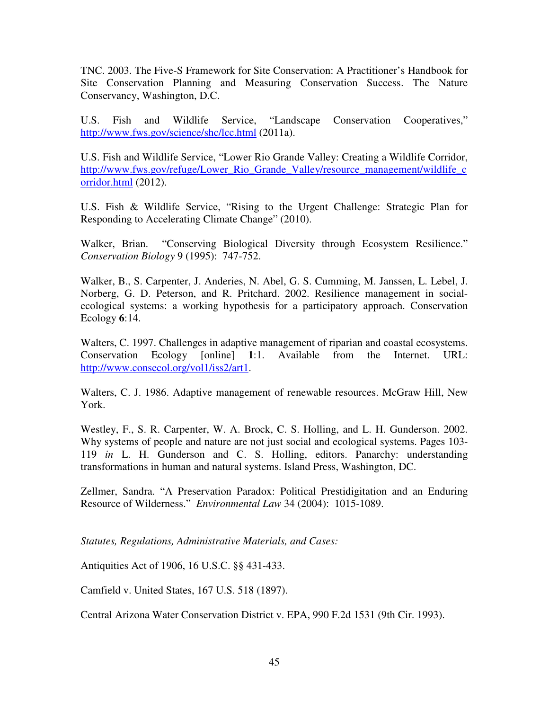TNC. 2003. The Five-S Framework for Site Conservation: A Practitioner's Handbook for Site Conservation Planning and Measuring Conservation Success. The Nature Conservancy, Washington, D.C.

U.S. Fish and Wildlife Service, "Landscape Conservation Cooperatives," http://www.fws.gov/science/shc/lcc.html (2011a).

U.S. Fish and Wildlife Service, "Lower Rio Grande Valley: Creating a Wildlife Corridor, http://www.fws.gov/refuge/Lower\_Rio\_Grande\_Valley/resource\_management/wildlife\_c orridor.html (2012).

U.S. Fish & Wildlife Service, "Rising to the Urgent Challenge: Strategic Plan for Responding to Accelerating Climate Change" (2010).

Walker, Brian. "Conserving Biological Diversity through Ecosystem Resilience." *Conservation Biology* 9 (1995): 747-752.

Walker, B., S. Carpenter, J. Anderies, N. Abel, G. S. Cumming, M. Janssen, L. Lebel, J. Norberg, G. D. Peterson, and R. Pritchard. 2002. Resilience management in socialecological systems: a working hypothesis for a participatory approach. Conservation Ecology **6**:14.

Walters, C. 1997. Challenges in adaptive management of riparian and coastal ecosystems. Conservation Ecology [online] **1**:1. Available from the Internet. URL: http://www.consecol.org/vol1/iss2/art1.

Walters, C. J. 1986. Adaptive management of renewable resources. McGraw Hill, New York.

Westley, F., S. R. Carpenter, W. A. Brock, C. S. Holling, and L. H. Gunderson. 2002. Why systems of people and nature are not just social and ecological systems. Pages 103- 119 *in* L. H. Gunderson and C. S. Holling, editors. Panarchy: understanding transformations in human and natural systems. Island Press, Washington, DC.

Zellmer, Sandra. "A Preservation Paradox: Political Prestidigitation and an Enduring Resource of Wilderness." *Environmental Law* 34 (2004): 1015-1089.

*Statutes, Regulations, Administrative Materials, and Cases:*

Antiquities Act of 1906, 16 U.S.C. §§ 431-433.

Camfield v. United States, 167 U.S. 518 (1897).

Central Arizona Water Conservation District v. EPA, 990 F.2d 1531 (9th Cir. 1993).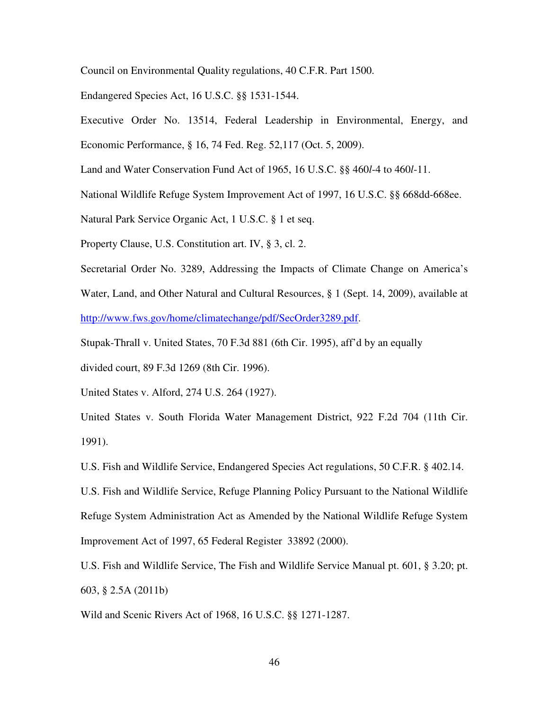Council on Environmental Quality regulations, 40 C.F.R. Part 1500.

Endangered Species Act, 16 U.S.C. §§ 1531-1544.

Executive Order No. 13514, Federal Leadership in Environmental, Energy, and Economic Performance, § 16, 74 Fed. Reg. 52,117 (Oct. 5, 2009).

Land and Water Conservation Fund Act of 1965, 16 U.S.C. §§ 460*l*-4 to 460*l*-11.

National Wildlife Refuge System Improvement Act of 1997, 16 U.S.C. §§ 668dd-668ee.

Natural Park Service Organic Act, 1 U.S.C. § 1 et seq.

Property Clause, U.S. Constitution art. IV, § 3, cl. 2.

Secretarial Order No. 3289, Addressing the Impacts of Climate Change on America's Water, Land, and Other Natural and Cultural Resources, § 1 (Sept. 14, 2009), available at http://www.fws.gov/home/climatechange/pdf/SecOrder3289.pdf.

Stupak-Thrall v. United States, 70 F.3d 881 (6th Cir. 1995), aff'd by an equally

divided court, 89 F.3d 1269 (8th Cir. 1996).

United States v. Alford, 274 U.S. 264 (1927).

United States v. South Florida Water Management District, 922 F.2d 704 (11th Cir. 1991).

U.S. Fish and Wildlife Service, Endangered Species Act regulations, 50 C.F.R. § 402.14.

U.S. Fish and Wildlife Service, Refuge Planning Policy Pursuant to the National Wildlife Refuge System Administration Act as Amended by the National Wildlife Refuge System Improvement Act of 1997, 65 Federal Register 33892 (2000).

U.S. Fish and Wildlife Service, The Fish and Wildlife Service Manual pt. 601, § 3.20; pt. 603, § 2.5A (2011b)

Wild and Scenic Rivers Act of 1968, 16 U.S.C. §§ 1271-1287.